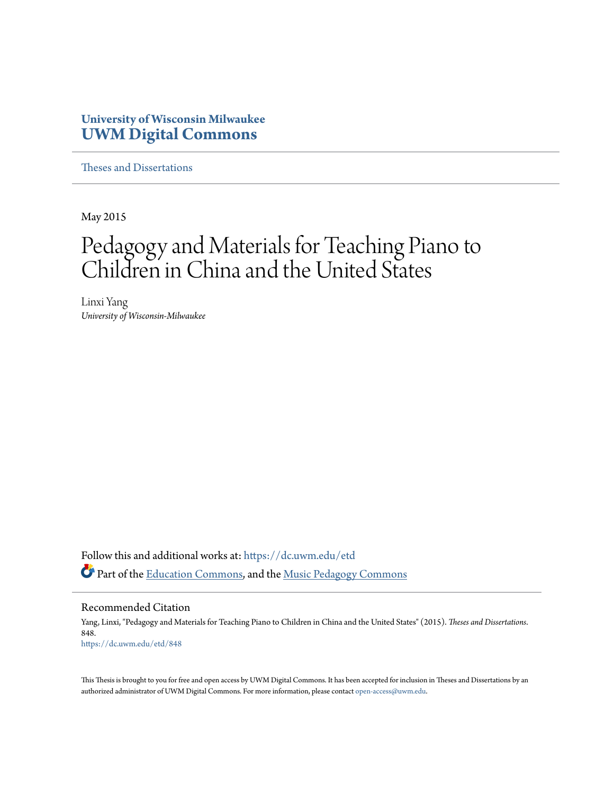## **University of Wisconsin Milwaukee [UWM Digital Commons](https://dc.uwm.edu/?utm_source=dc.uwm.edu%2Fetd%2F848&utm_medium=PDF&utm_campaign=PDFCoverPages)**

[Theses and Dissertations](https://dc.uwm.edu/etd?utm_source=dc.uwm.edu%2Fetd%2F848&utm_medium=PDF&utm_campaign=PDFCoverPages)

May 2015

## Pedagogy and Materials for Teaching Piano to Children in China and the United States

Linxi Yang *University of Wisconsin-Milwaukee*

Follow this and additional works at: [https://dc.uwm.edu/etd](https://dc.uwm.edu/etd?utm_source=dc.uwm.edu%2Fetd%2F848&utm_medium=PDF&utm_campaign=PDFCoverPages) Part of the [Education Commons](http://network.bepress.com/hgg/discipline/784?utm_source=dc.uwm.edu%2Fetd%2F848&utm_medium=PDF&utm_campaign=PDFCoverPages), and the [Music Pedagogy Commons](http://network.bepress.com/hgg/discipline/1129?utm_source=dc.uwm.edu%2Fetd%2F848&utm_medium=PDF&utm_campaign=PDFCoverPages)

Recommended Citation

Yang, Linxi, "Pedagogy and Materials for Teaching Piano to Children in China and the United States" (2015). *Theses and Dissertations*. 848. [https://dc.uwm.edu/etd/848](https://dc.uwm.edu/etd/848?utm_source=dc.uwm.edu%2Fetd%2F848&utm_medium=PDF&utm_campaign=PDFCoverPages)

This Thesis is brought to you for free and open access by UWM Digital Commons. It has been accepted for inclusion in Theses and Dissertations by an authorized administrator of UWM Digital Commons. For more information, please contact [open-access@uwm.edu.](mailto:open-access@uwm.edu)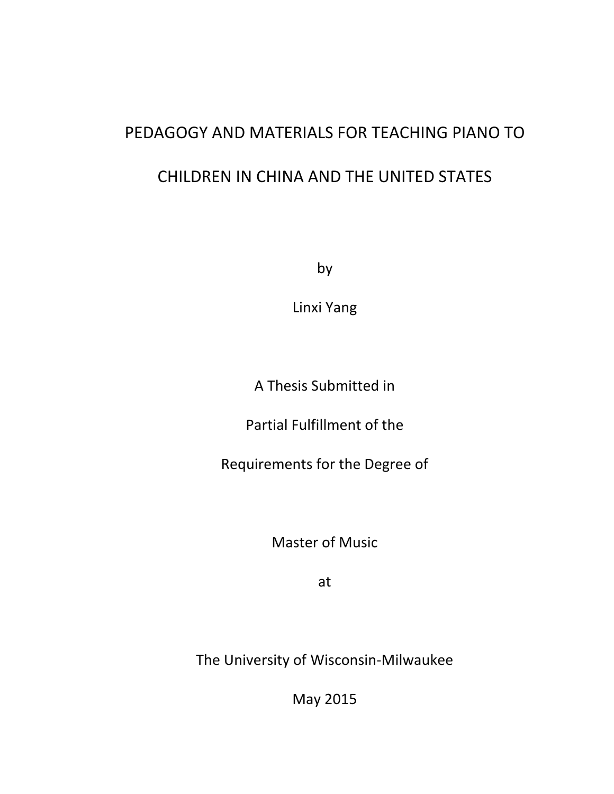# PEDAGOGY AND MATERIALS FOR TEACHING PIANO TO CHILDREN IN CHINA AND THE UNITED STATES

by

Linxi Yang

A Thesis Submitted in

Partial Fulfillment of the

Requirements for the Degree of

Master of Music

at

The University of Wisconsin-Milwaukee

May 2015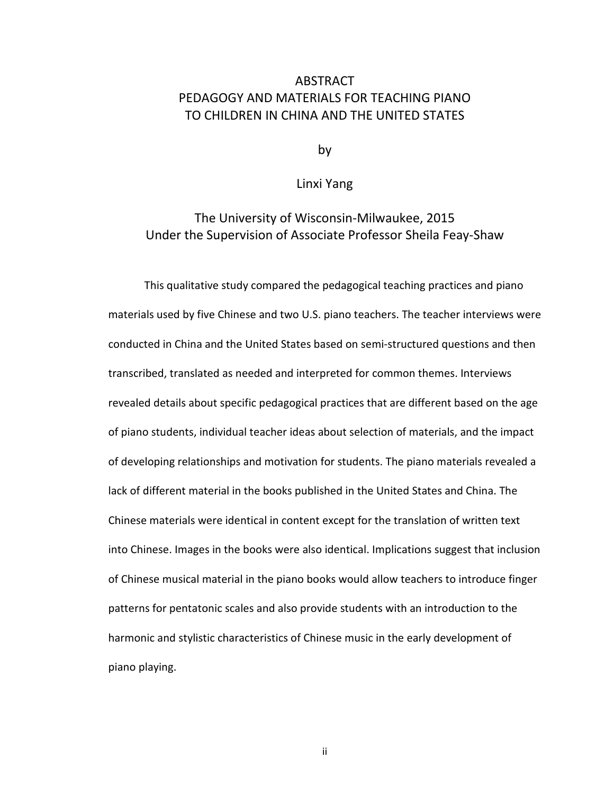## ABSTRACT PEDAGOGY AND MATERIALS FOR TEACHING PIANO TO CHILDREN IN CHINA AND THE UNITED STATES

by

#### Linxi Yang

## The University of Wisconsin-Milwaukee, 2015 Under the Supervision of Associate Professor Sheila Feay-Shaw

This qualitative study compared the pedagogical teaching practices and piano materials used by five Chinese and two U.S. piano teachers. The teacher interviews were conducted in China and the United States based on semi-structured questions and then transcribed, translated as needed and interpreted for common themes. Interviews revealed details about specific pedagogical practices that are different based on the age of piano students, individual teacher ideas about selection of materials, and the impact of developing relationships and motivation for students. The piano materials revealed a lack of different material in the books published in the United States and China. The Chinese materials were identical in content except for the translation of written text into Chinese. Images in the books were also identical. Implications suggest that inclusion of Chinese musical material in the piano books would allow teachers to introduce finger patterns for pentatonic scales and also provide students with an introduction to the harmonic and stylistic characteristics of Chinese music in the early development of piano playing.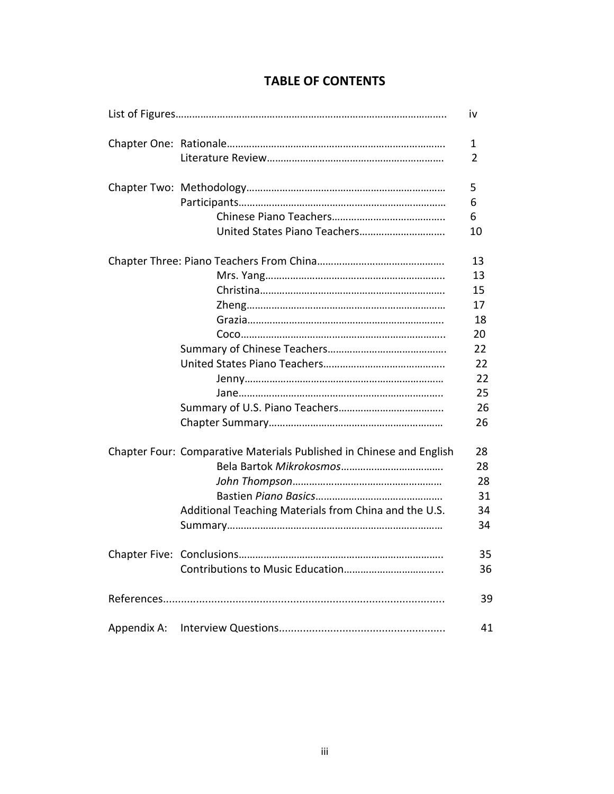|                           |                                                                      | iv |
|---------------------------|----------------------------------------------------------------------|----|
|                           |                                                                      | 1  |
|                           |                                                                      | 2  |
|                           |                                                                      | 5  |
|                           |                                                                      | 6  |
|                           |                                                                      | 6  |
|                           |                                                                      | 10 |
|                           |                                                                      | 13 |
|                           |                                                                      | 13 |
|                           |                                                                      | 15 |
|                           |                                                                      | 17 |
|                           |                                                                      | 18 |
|                           |                                                                      | 20 |
|                           |                                                                      | 22 |
|                           |                                                                      | 22 |
|                           |                                                                      | 22 |
|                           |                                                                      | 25 |
|                           |                                                                      | 26 |
|                           |                                                                      | 26 |
|                           | Chapter Four: Comparative Materials Published in Chinese and English | 28 |
|                           |                                                                      | 28 |
|                           |                                                                      | 28 |
|                           |                                                                      | 31 |
|                           | Additional Teaching Materials from China and the U.S.                | 34 |
|                           |                                                                      | 34 |
| Chapter Five: Conclusions |                                                                      | 35 |
|                           |                                                                      | 36 |
|                           |                                                                      |    |
|                           |                                                                      | 41 |

## **TABLE OF CONTENTS**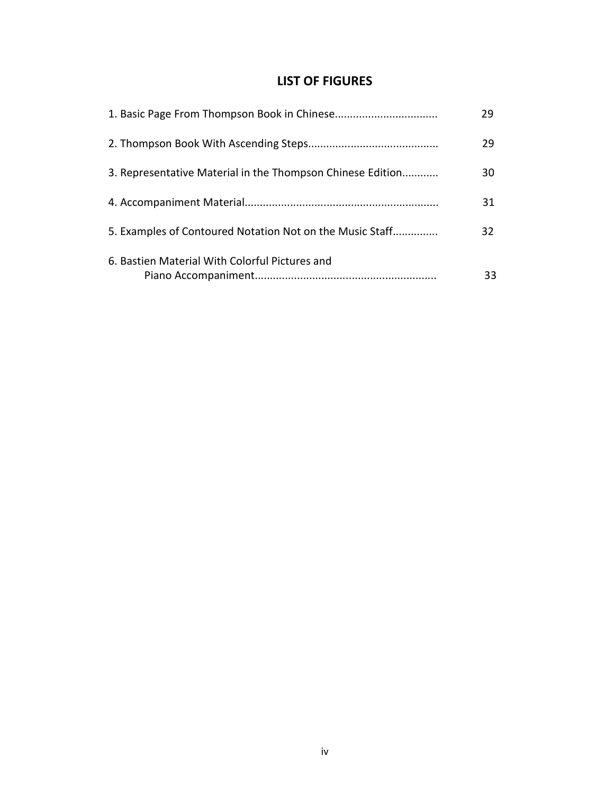## **LIST OF FIGURES**

|                                                            | 29 |
|------------------------------------------------------------|----|
|                                                            | 29 |
| 3. Representative Material in the Thompson Chinese Edition | 30 |
|                                                            | 31 |
| 5. Examples of Contoured Notation Not on the Music Staff   | 32 |
| 6. Bastien Material With Colorful Pictures and             | 33 |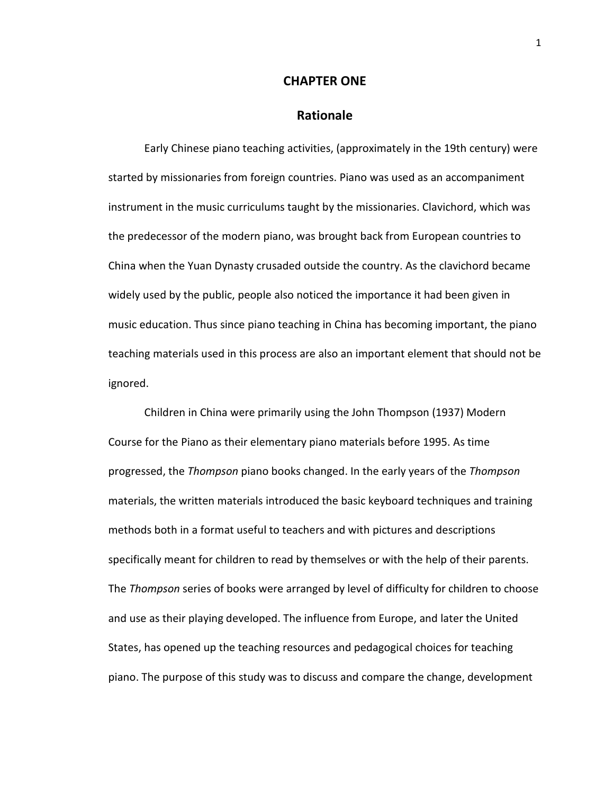#### **CHAPTER ONE**

#### **Rationale**

Early Chinese piano teaching activities, (approximately in the 19th century) were started by missionaries from foreign countries. Piano was used as an accompaniment instrument in the music curriculums taught by the missionaries. Clavichord, which was the predecessor of the modern piano, was brought back from European countries to China when the Yuan Dynasty crusaded outside the country. As the clavichord became widely used by the public, people also noticed the importance it had been given in music education. Thus since piano teaching in China has becoming important, the piano teaching materials used in this process are also an important element that should not be ignored.

 Children in China were primarily using the John Thompson (1937) Modern Course for the Piano as their elementary piano materials before 1995. As time progressed, the *Thompson* piano books changed. In the early years of the *Thompson* materials, the written materials introduced the basic keyboard techniques and training methods both in a format useful to teachers and with pictures and descriptions specifically meant for children to read by themselves or with the help of their parents. The *Thompson* series of books were arranged by level of difficulty for children to choose and use as their playing developed. The influence from Europe, and later the United States, has opened up the teaching resources and pedagogical choices for teaching piano. The purpose of this study was to discuss and compare the change, development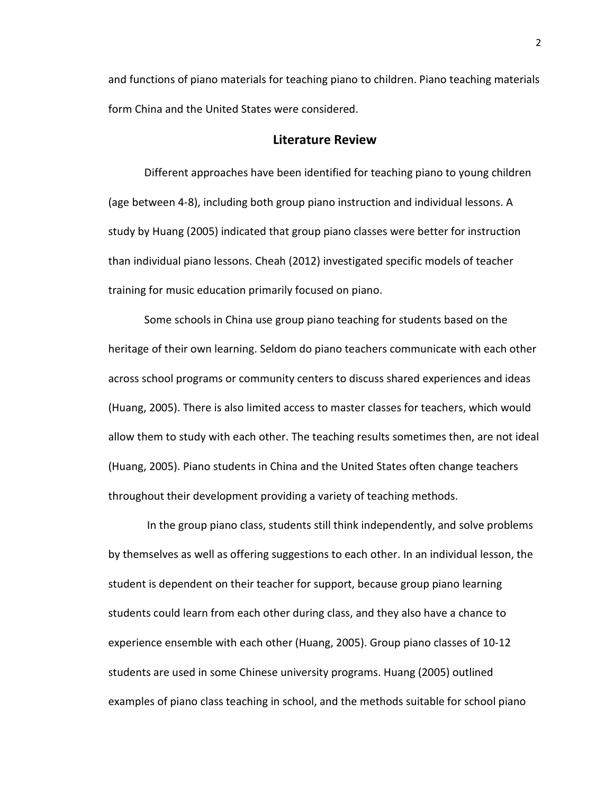and functions of piano materials for teaching piano to children. Piano teaching materials form China and the United States were considered.

#### **Literature Review**

 Different approaches have been identified for teaching piano to young children (age between 4-8), including both group piano instruction and individual lessons. A study by Huang (2005) indicated that group piano classes were better for instruction than individual piano lessons. Cheah (2012) investigated specific models of teacher training for music education primarily focused on piano.

 Some schools in China use group piano teaching for students based on the heritage of their own learning. Seldom do piano teachers communicate with each other across school programs or community centers to discuss shared experiences and ideas (Huang, 2005). There is also limited access to master classes for teachers, which would allow them to study with each other. The teaching results sometimes then, are not ideal (Huang, 2005). Piano students in China and the United States often change teachers throughout their development providing a variety of teaching methods.

 In the group piano class, students still think independently, and solve problems by themselves as well as offering suggestions to each other. In an individual lesson, the student is dependent on their teacher for support, because group piano learning students could learn from each other during class, and they also have a chance to experience ensemble with each other (Huang, 2005). Group piano classes of 10-12 students are used in some Chinese university programs. Huang (2005) outlined examples of piano class teaching in school, and the methods suitable for school piano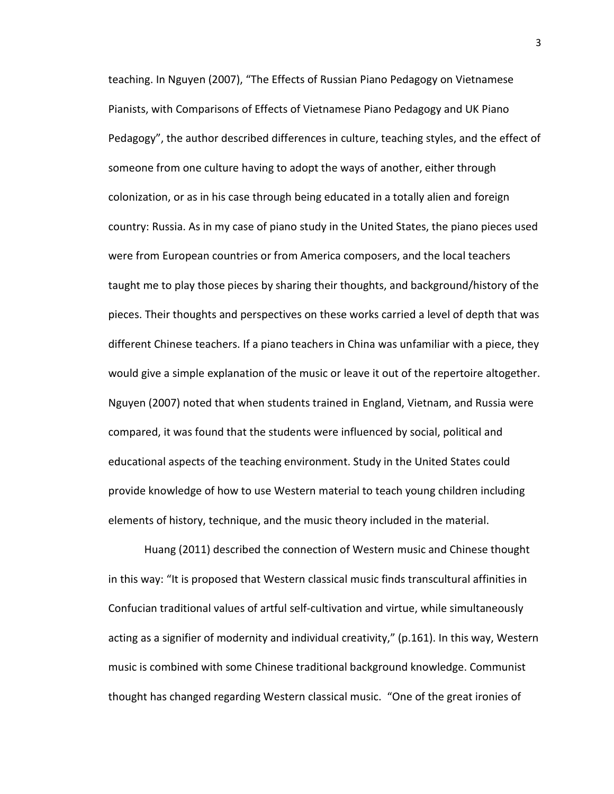teaching. In Nguyen (2007), "The Effects of Russian Piano Pedagogy on Vietnamese Pianists, with Comparisons of Effects of Vietnamese Piano Pedagogy and UK Piano Pedagogy", the author described differences in culture, teaching styles, and the effect of someone from one culture having to adopt the ways of another, either through colonization, or as in his case through being educated in a totally alien and foreign country: Russia. As in my case of piano study in the United States, the piano pieces used were from European countries or from America composers, and the local teachers taught me to play those pieces by sharing their thoughts, and background/history of the pieces. Their thoughts and perspectives on these works carried a level of depth that was different Chinese teachers. If a piano teachers in China was unfamiliar with a piece, they would give a simple explanation of the music or leave it out of the repertoire altogether. Nguyen (2007) noted that when students trained in England, Vietnam, and Russia were compared, it was found that the students were influenced by social, political and educational aspects of the teaching environment. Study in the United States could provide knowledge of how to use Western material to teach young children including elements of history, technique, and the music theory included in the material.

Huang (2011) described the connection of Western music and Chinese thought in this way: "It is proposed that Western classical music finds transcultural affinities in Confucian traditional values of artful self-cultivation and virtue, while simultaneously acting as a signifier of modernity and individual creativity," (p.161). In this way, Western music is combined with some Chinese traditional background knowledge. Communist thought has changed regarding Western classical music. "One of the great ironies of

3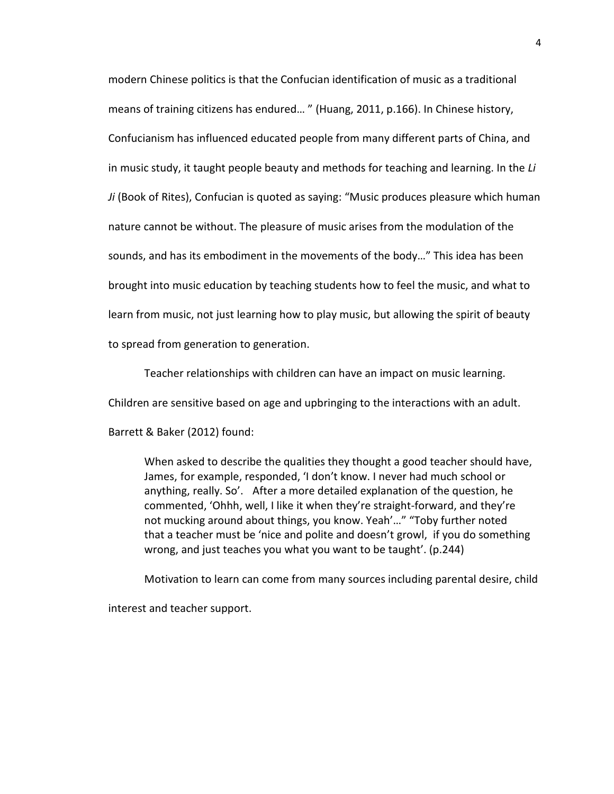modern Chinese politics is that the Confucian identification of music as a traditional means of training citizens has endured… " (Huang, 2011, p.166). In Chinese history, Confucianism has influenced educated people from many different parts of China, and in music study, it taught people beauty and methods for teaching and learning. In the *Li Ji* (Book of Rites), Confucian is quoted as saying: "Music produces pleasure which human nature cannot be without. The pleasure of music arises from the modulation of the sounds, and has its embodiment in the movements of the body…" This idea has been brought into music education by teaching students how to feel the music, and what to learn from music, not just learning how to play music, but allowing the spirit of beauty to spread from generation to generation.

Teacher relationships with children can have an impact on music learning.

Children are sensitive based on age and upbringing to the interactions with an adult.

Barrett & Baker (2012) found:

When asked to describe the qualities they thought a good teacher should have, James, for example, responded, 'I don't know. I never had much school or anything, really. So'. After a more detailed explanation of the question, he commented, 'Ohhh, well, I like it when they're straight-forward, and they're not mucking around about things, you know. Yeah'…" "Toby further noted that a teacher must be 'nice and polite and doesn't growl, if you do something wrong, and just teaches you what you want to be taught'. (p.244)

Motivation to learn can come from many sources including parental desire, child interest and teacher support.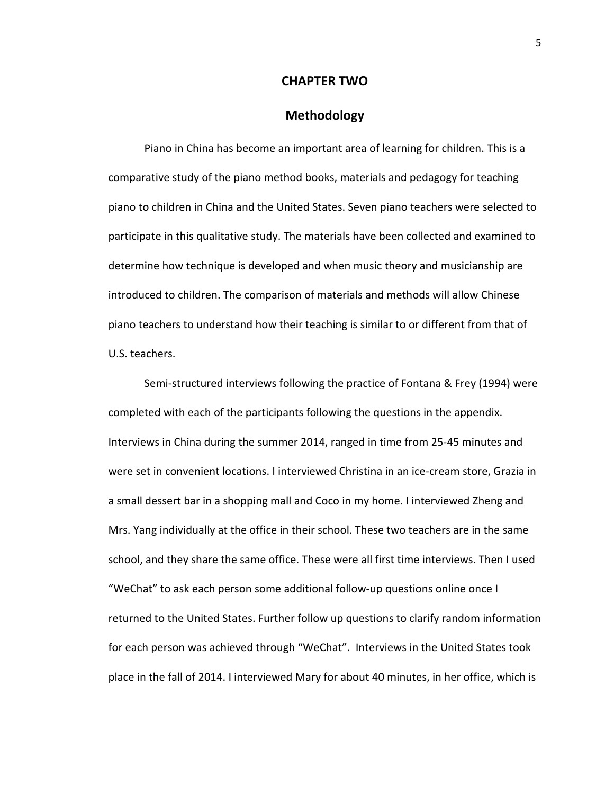#### **CHAPTER TWO**

#### **Methodology**

Piano in China has become an important area of learning for children. This is a comparative study of the piano method books, materials and pedagogy for teaching piano to children in China and the United States. Seven piano teachers were selected to participate in this qualitative study. The materials have been collected and examined to determine how technique is developed and when music theory and musicianship are introduced to children. The comparison of materials and methods will allow Chinese piano teachers to understand how their teaching is similar to or different from that of U.S. teachers.

 Semi-structured interviews following the practice of Fontana & Frey (1994) were completed with each of the participants following the questions in the appendix. Interviews in China during the summer 2014, ranged in time from 25-45 minutes and were set in convenient locations. I interviewed Christina in an ice-cream store, Grazia in a small dessert bar in a shopping mall and Coco in my home. I interviewed Zheng and Mrs. Yang individually at the office in their school. These two teachers are in the same school, and they share the same office. These were all first time interviews. Then I used "WeChat" to ask each person some additional follow-up questions online once I returned to the United States. Further follow up questions to clarify random information for each person was achieved through "WeChat". Interviews in the United States took place in the fall of 2014. I interviewed Mary for about 40 minutes, in her office, which is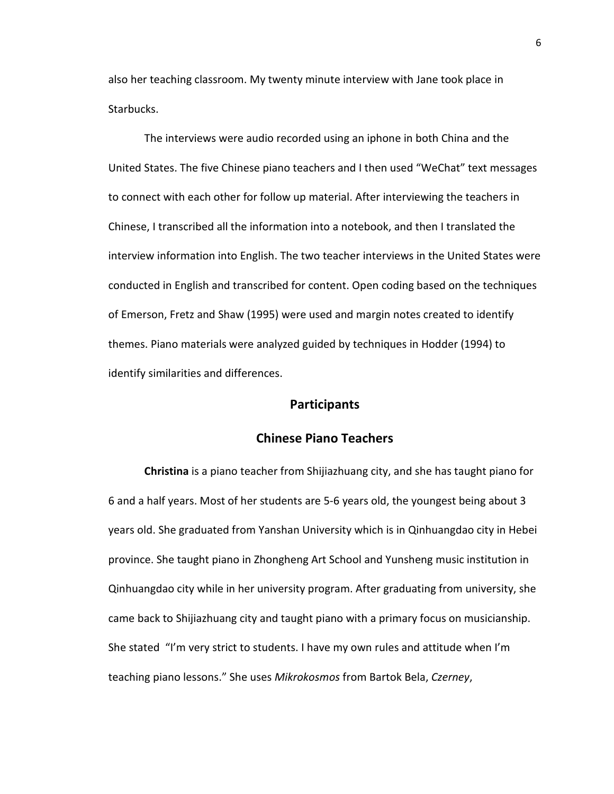also her teaching classroom. My twenty minute interview with Jane took place in Starbucks.

 The interviews were audio recorded using an iphone in both China and the United States. The five Chinese piano teachers and I then used "WeChat" text messages to connect with each other for follow up material. After interviewing the teachers in Chinese, I transcribed all the information into a notebook, and then I translated the interview information into English. The two teacher interviews in the United States were conducted in English and transcribed for content. Open coding based on the techniques of Emerson, Fretz and Shaw (1995) were used and margin notes created to identify themes. Piano materials were analyzed guided by techniques in Hodder (1994) to identify similarities and differences.

#### **Participants**

#### **Chinese Piano Teachers**

 **Christina** is a piano teacher from Shijiazhuang city, and she has taught piano for 6 and a half years. Most of her students are 5-6 years old, the youngest being about 3 years old. She graduated from Yanshan University which is in Qinhuangdao city in Hebei province. She taught piano in Zhongheng Art School and Yunsheng music institution in Qinhuangdao city while in her university program. After graduating from university, she came back to Shijiazhuang city and taught piano with a primary focus on musicianship. She stated "I'm very strict to students. I have my own rules and attitude when I'm teaching piano lessons." She uses *Mikrokosmos* from Bartok Bela, *Czerney*,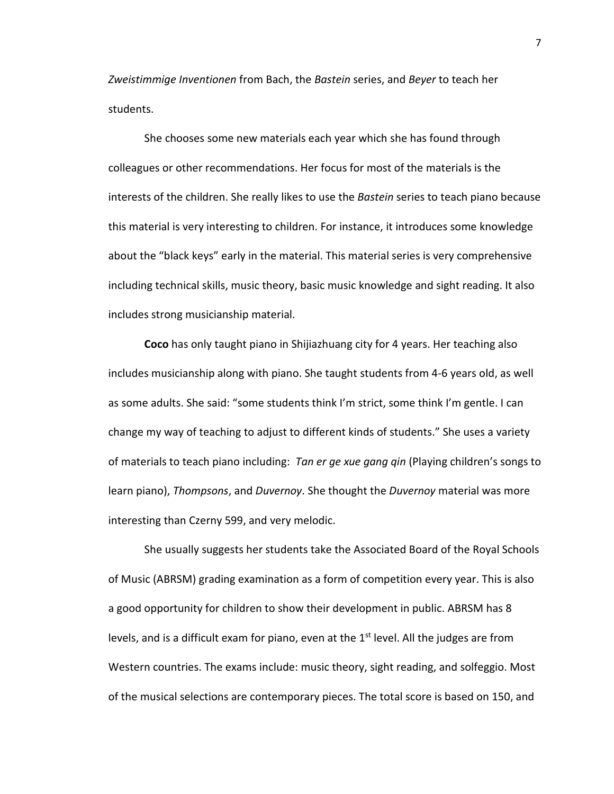*Zweistimmige Inventionen* from Bach, the *Bastein* series, and *Beyer* to teach her students.

She chooses some new materials each year which she has found through colleagues or other recommendations. Her focus for most of the materials is the interests of the children. She really likes to use the *Bastein* series to teach piano because this material is very interesting to children. For instance, it introduces some knowledge about the "black keys" early in the material. This material series is very comprehensive including technical skills, music theory, basic music knowledge and sight reading. It also includes strong musicianship material.

 **Coco** has only taught piano in Shijiazhuang city for 4 years. Her teaching also includes musicianship along with piano. She taught students from 4-6 years old, as well as some adults. She said: "some students think I'm strict, some think I'm gentle. I can change my way of teaching to adjust to different kinds of students." She uses a variety of materials to teach piano including: *Tan er ge xue gang qin* (Playing children's songs to learn piano), *Thompsons*, and *Duvernoy*. She thought the *Duvernoy* material was more interesting than Czerny 599, and very melodic.

 She usually suggests her students take the Associated Board of the Royal Schools of Music (ABRSM) grading examination as a form of competition every year. This is also a good opportunity for children to show their development in public. ABRSM has 8 levels, and is a difficult exam for piano, even at the  $1<sup>st</sup>$  level. All the judges are from Western countries. The exams include: music theory, sight reading, and solfeggio. Most of the musical selections are contemporary pieces. The total score is based on 150, and

7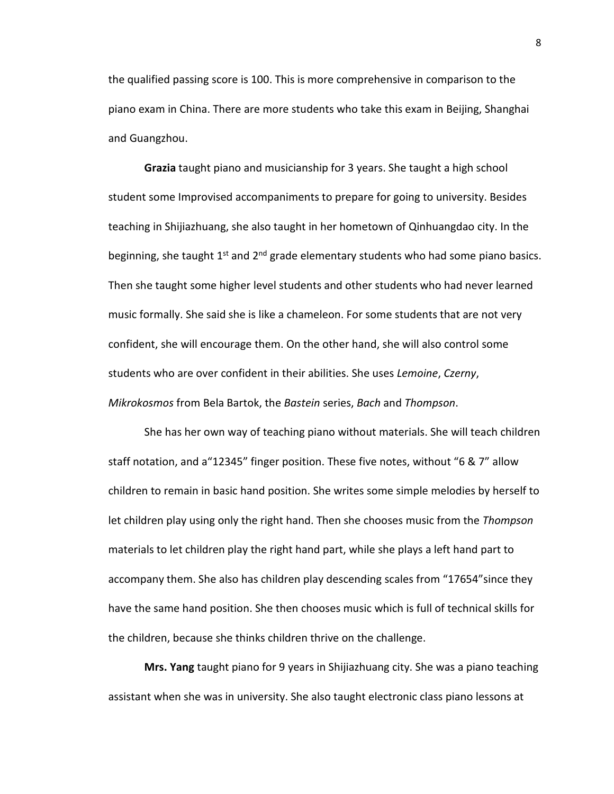the qualified passing score is 100. This is more comprehensive in comparison to the piano exam in China. There are more students who take this exam in Beijing, Shanghai and Guangzhou.

 **Grazia** taught piano and musicianship for 3 years. She taught a high school student some Improvised accompaniments to prepare for going to university. Besides teaching in Shijiazhuang, she also taught in her hometown of Qinhuangdao city. In the beginning, she taught  $1<sup>st</sup>$  and  $2<sup>nd</sup>$  grade elementary students who had some piano basics. Then she taught some higher level students and other students who had never learned music formally. She said she is like a chameleon. For some students that are not very confident, she will encourage them. On the other hand, she will also control some students who are over confident in their abilities. She uses *Lemoine*, *Czerny*, *Mikrokosmos* from Bela Bartok, the *Bastein* series, *Bach* and *Thompson*.

She has her own way of teaching piano without materials. She will teach children staff notation, and a"12345" finger position. These five notes, without "6 & 7" allow children to remain in basic hand position. She writes some simple melodies by herself to let children play using only the right hand. Then she chooses music from the *Thompson*  materials to let children play the right hand part, while she plays a left hand part to accompany them. She also has children play descending scales from "17654"since they have the same hand position. She then chooses music which is full of technical skills for the children, because she thinks children thrive on the challenge.

 **Mrs. Yang** taught piano for 9 years in Shijiazhuang city. She was a piano teaching assistant when she was in university. She also taught electronic class piano lessons at

8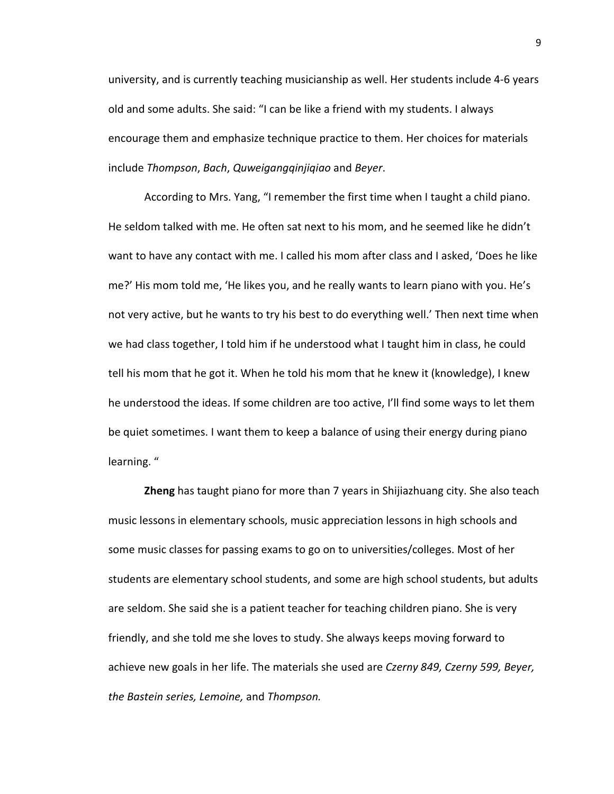university, and is currently teaching musicianship as well. Her students include 4-6 years old and some adults. She said: "I can be like a friend with my students. I always encourage them and emphasize technique practice to them. Her choices for materials include *Thompson*, *Bach*, *Quweigangqinjiqiao* and *Beyer*.

 According to Mrs. Yang, "I remember the first time when I taught a child piano. He seldom talked with me. He often sat next to his mom, and he seemed like he didn't want to have any contact with me. I called his mom after class and I asked, 'Does he like me?' His mom told me, 'He likes you, and he really wants to learn piano with you. He's not very active, but he wants to try his best to do everything well.' Then next time when we had class together, I told him if he understood what I taught him in class, he could tell his mom that he got it. When he told his mom that he knew it (knowledge), I knew he understood the ideas. If some children are too active, I'll find some ways to let them be quiet sometimes. I want them to keep a balance of using their energy during piano learning. "

 **Zheng** has taught piano for more than 7 years in Shijiazhuang city. She also teach music lessons in elementary schools, music appreciation lessons in high schools and some music classes for passing exams to go on to universities/colleges. Most of her students are elementary school students, and some are high school students, but adults are seldom. She said she is a patient teacher for teaching children piano. She is very friendly, and she told me she loves to study. She always keeps moving forward to achieve new goals in her life. The materials she used are *Czerny 849, Czerny 599, Beyer, the Bastein series, Lemoine,* and *Thompson.*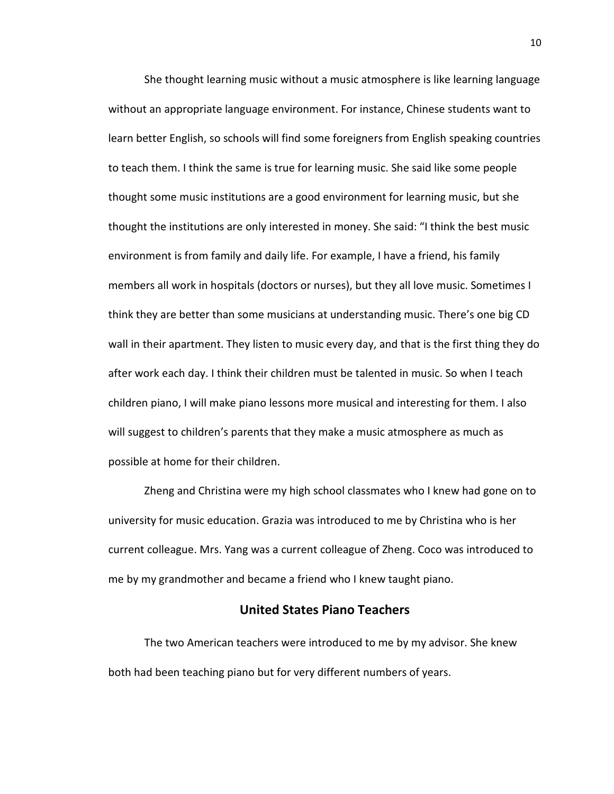She thought learning music without a music atmosphere is like learning language without an appropriate language environment. For instance, Chinese students want to learn better English, so schools will find some foreigners from English speaking countries to teach them. I think the same is true for learning music. She said like some people thought some music institutions are a good environment for learning music, but she thought the institutions are only interested in money. She said: "I think the best music environment is from family and daily life. For example, I have a friend, his family members all work in hospitals (doctors or nurses), but they all love music. Sometimes I think they are better than some musicians at understanding music. There's one big CD wall in their apartment. They listen to music every day, and that is the first thing they do after work each day. I think their children must be talented in music. So when I teach children piano, I will make piano lessons more musical and interesting for them. I also will suggest to children's parents that they make a music atmosphere as much as possible at home for their children.

 Zheng and Christina were my high school classmates who I knew had gone on to university for music education. Grazia was introduced to me by Christina who is her current colleague. Mrs. Yang was a current colleague of Zheng. Coco was introduced to me by my grandmother and became a friend who I knew taught piano.

#### **United States Piano Teachers**

The two American teachers were introduced to me by my advisor. She knew both had been teaching piano but for very different numbers of years.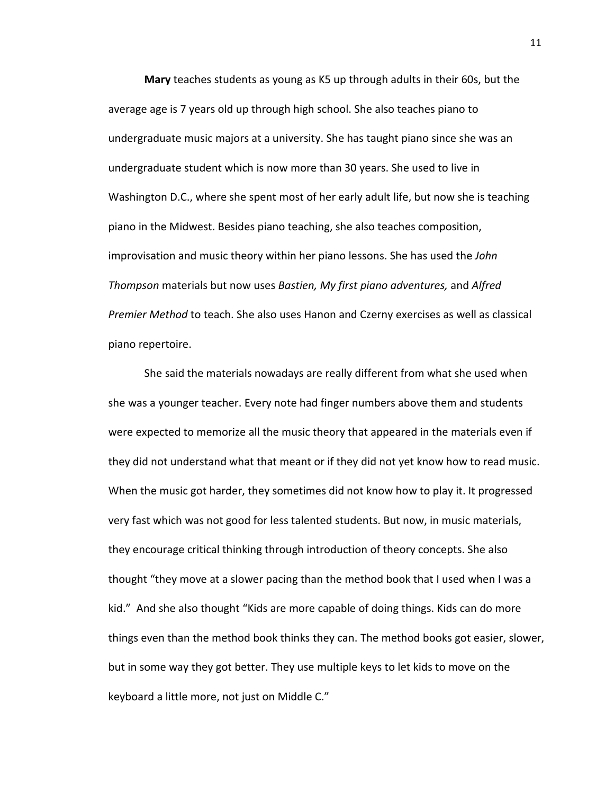**Mary** teaches students as young as K5 up through adults in their 60s, but the average age is 7 years old up through high school. She also teaches piano to undergraduate music majors at a university. She has taught piano since she was an undergraduate student which is now more than 30 years. She used to live in Washington D.C., where she spent most of her early adult life, but now she is teaching piano in the Midwest. Besides piano teaching, she also teaches composition, improvisation and music theory within her piano lessons. She has used the *John Thompson* materials but now uses *Bastien, My first piano adventures,* and *Alfred Premier Method* to teach. She also uses Hanon and Czerny exercises as well as classical piano repertoire.

She said the materials nowadays are really different from what she used when she was a younger teacher. Every note had finger numbers above them and students were expected to memorize all the music theory that appeared in the materials even if they did not understand what that meant or if they did not yet know how to read music. When the music got harder, they sometimes did not know how to play it. It progressed very fast which was not good for less talented students. But now, in music materials, they encourage critical thinking through introduction of theory concepts. She also thought "they move at a slower pacing than the method book that I used when I was a kid." And she also thought "Kids are more capable of doing things. Kids can do more things even than the method book thinks they can. The method books got easier, slower, but in some way they got better. They use multiple keys to let kids to move on the keyboard a little more, not just on Middle C."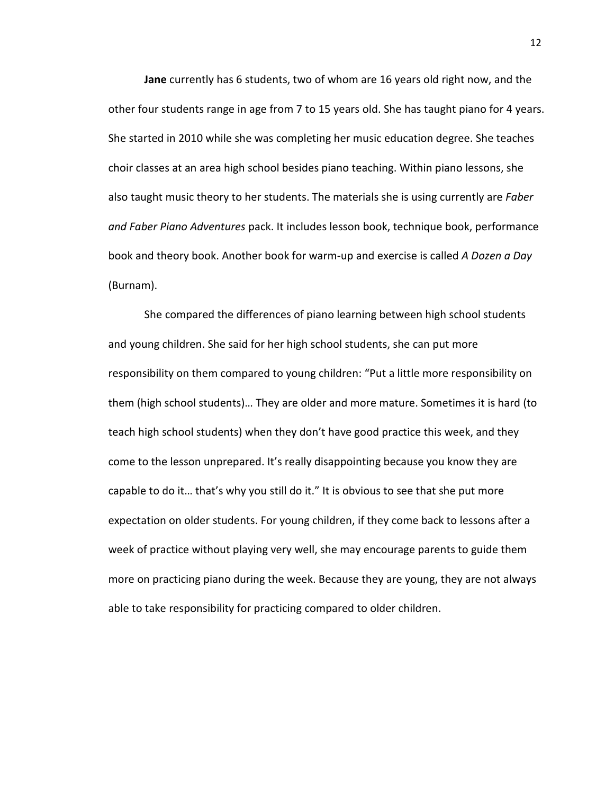**Jane** currently has 6 students, two of whom are 16 years old right now, and the other four students range in age from 7 to 15 years old. She has taught piano for 4 years. She started in 2010 while she was completing her music education degree. She teaches choir classes at an area high school besides piano teaching. Within piano lessons, she also taught music theory to her students. The materials she is using currently are *Faber and Faber Piano Adventures* pack. It includes lesson book, technique book, performance book and theory book. Another book for warm-up and exercise is called *A Dozen a Day*  (Burnam).

She compared the differences of piano learning between high school students and young children. She said for her high school students, she can put more responsibility on them compared to young children: "Put a little more responsibility on them (high school students)… They are older and more mature. Sometimes it is hard (to teach high school students) when they don't have good practice this week, and they come to the lesson unprepared. It's really disappointing because you know they are capable to do it… that's why you still do it." It is obvious to see that she put more expectation on older students. For young children, if they come back to lessons after a week of practice without playing very well, she may encourage parents to guide them more on practicing piano during the week. Because they are young, they are not always able to take responsibility for practicing compared to older children.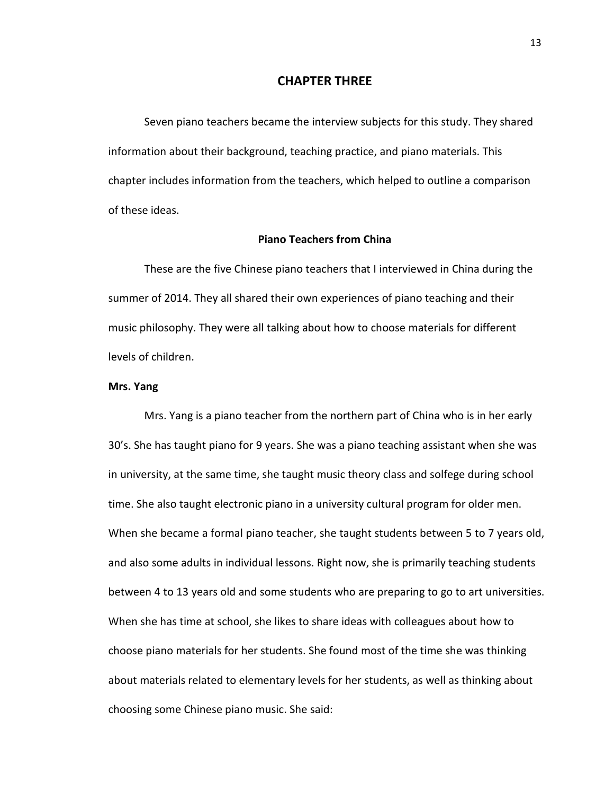#### **CHAPTER THREE**

Seven piano teachers became the interview subjects for this study. They shared information about their background, teaching practice, and piano materials. This chapter includes information from the teachers, which helped to outline a comparison of these ideas.

#### **Piano Teachers from China**

These are the five Chinese piano teachers that I interviewed in China during the summer of 2014. They all shared their own experiences of piano teaching and their music philosophy. They were all talking about how to choose materials for different levels of children.

#### **Mrs. Yang**

 Mrs. Yang is a piano teacher from the northern part of China who is in her early 30's. She has taught piano for 9 years. She was a piano teaching assistant when she was in university, at the same time, she taught music theory class and solfege during school time. She also taught electronic piano in a university cultural program for older men. When she became a formal piano teacher, she taught students between 5 to 7 years old, and also some adults in individual lessons. Right now, she is primarily teaching students between 4 to 13 years old and some students who are preparing to go to art universities. When she has time at school, she likes to share ideas with colleagues about how to choose piano materials for her students. She found most of the time she was thinking about materials related to elementary levels for her students, as well as thinking about choosing some Chinese piano music. She said: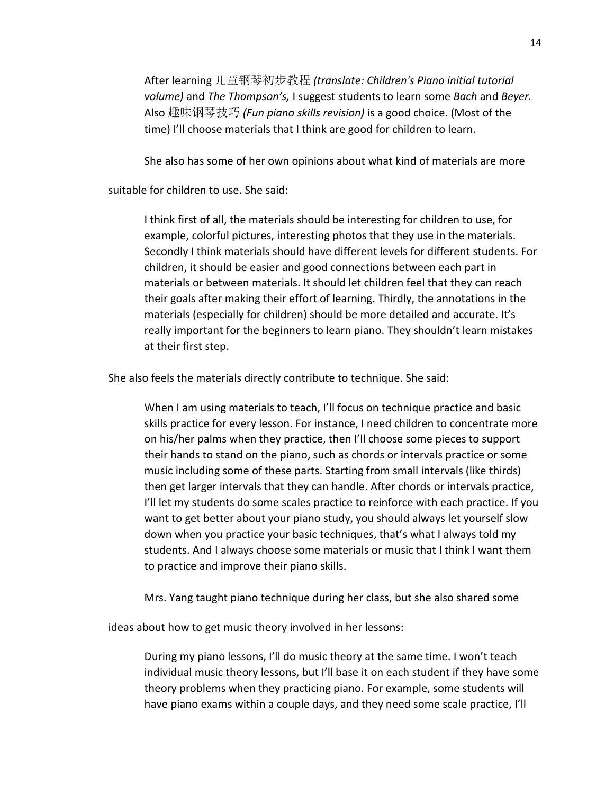After learning 儿童钢琴初步教程 *(translate: Children's Piano initial tutorial volume)* and *The Thompson's,* I suggest students to learn some *Bach* and *Beyer.*  Also 趣味钢琴技巧 *(Fun piano skills revision)* is a good choice. (Most of the time) I'll choose materials that I think are good for children to learn.

She also has some of her own opinions about what kind of materials are more

suitable for children to use. She said:

 I think first of all, the materials should be interesting for children to use, for example, colorful pictures, interesting photos that they use in the materials. Secondly I think materials should have different levels for different students. For children, it should be easier and good connections between each part in materials or between materials. It should let children feel that they can reach their goals after making their effort of learning. Thirdly, the annotations in the materials (especially for children) should be more detailed and accurate. It's really important for the beginners to learn piano. They shouldn't learn mistakes at their first step.

She also feels the materials directly contribute to technique. She said:

 When I am using materials to teach, I'll focus on technique practice and basic skills practice for every lesson. For instance, I need children to concentrate more on his/her palms when they practice, then I'll choose some pieces to support their hands to stand on the piano, such as chords or intervals practice or some music including some of these parts. Starting from small intervals (like thirds) then get larger intervals that they can handle. After chords or intervals practice, I'll let my students do some scales practice to reinforce with each practice. If you want to get better about your piano study, you should always let yourself slow down when you practice your basic techniques, that's what I always told my students. And I always choose some materials or music that I think I want them to practice and improve their piano skills.

Mrs. Yang taught piano technique during her class, but she also shared some

ideas about how to get music theory involved in her lessons:

 During my piano lessons, I'll do music theory at the same time. I won't teach individual music theory lessons, but I'll base it on each student if they have some theory problems when they practicing piano. For example, some students will have piano exams within a couple days, and they need some scale practice, I'll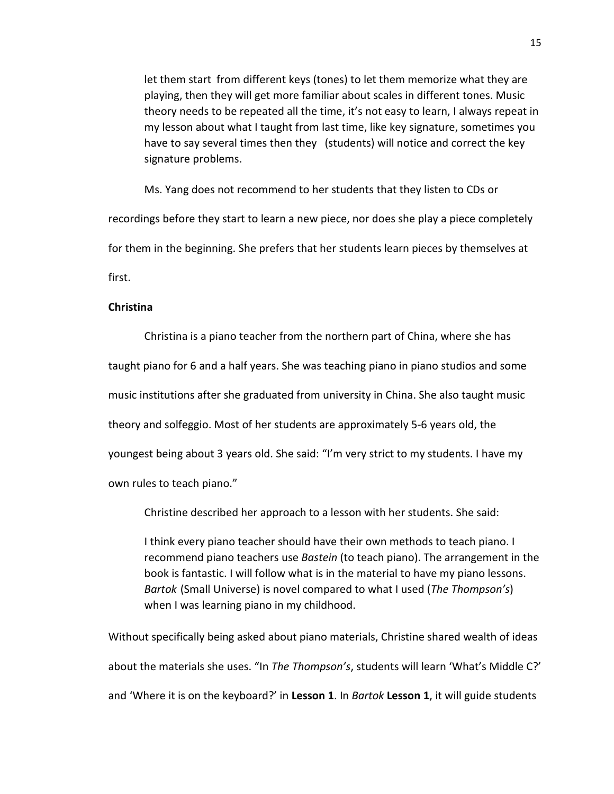let them start from different keys (tones) to let them memorize what they are playing, then they will get more familiar about scales in different tones. Music theory needs to be repeated all the time, it's not easy to learn, I always repeat in my lesson about what I taught from last time, like key signature, sometimes you have to say several times then they (students) will notice and correct the key signature problems.

Ms. Yang does not recommend to her students that they listen to CDs or recordings before they start to learn a new piece, nor does she play a piece completely for them in the beginning. She prefers that her students learn pieces by themselves at first.

#### **Christina**

Christina is a piano teacher from the northern part of China, where she has taught piano for 6 and a half years. She was teaching piano in piano studios and some music institutions after she graduated from university in China. She also taught music theory and solfeggio. Most of her students are approximately 5-6 years old, the youngest being about 3 years old. She said: "I'm very strict to my students. I have my own rules to teach piano."

Christine described her approach to a lesson with her students. She said:

I think every piano teacher should have their own methods to teach piano. I recommend piano teachers use *Bastein* (to teach piano). The arrangement in the book is fantastic. I will follow what is in the material to have my piano lessons. *Bartok* (Small Universe) is novel compared to what I used (*The Thompson's*) when I was learning piano in my childhood.

Without specifically being asked about piano materials, Christine shared wealth of ideas about the materials she uses. "In *The Thompson's*, students will learn 'What's Middle C?' and 'Where it is on the keyboard?' in **Lesson 1**. In *Bartok* **Lesson 1**, it will guide students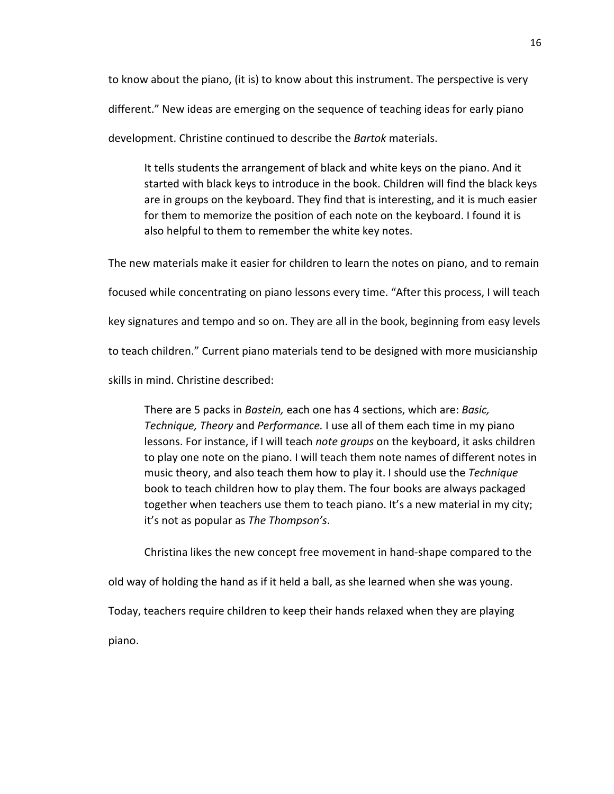to know about the piano, (it is) to know about this instrument. The perspective is very

different." New ideas are emerging on the sequence of teaching ideas for early piano

development. Christine continued to describe the *Bartok* materials.

 It tells students the arrangement of black and white keys on the piano. And it started with black keys to introduce in the book. Children will find the black keys are in groups on the keyboard. They find that is interesting, and it is much easier for them to memorize the position of each note on the keyboard. I found it is also helpful to them to remember the white key notes.

The new materials make it easier for children to learn the notes on piano, and to remain

focused while concentrating on piano lessons every time. "After this process, I will teach

key signatures and tempo and so on. They are all in the book, beginning from easy levels

to teach children." Current piano materials tend to be designed with more musicianship

skills in mind. Christine described:

There are 5 packs in *Bastein,* each one has 4 sections, which are: *Basic, Technique, Theory* and *Performance.* I use all of them each time in my piano lessons. For instance, if I will teach *note groups* on the keyboard, it asks children to play one note on the piano. I will teach them note names of different notes in music theory, and also teach them how to play it. I should use the *Technique* book to teach children how to play them. The four books are always packaged together when teachers use them to teach piano. It's a new material in my city; it's not as popular as *The Thompson's*.

Christina likes the new concept free movement in hand-shape compared to the old way of holding the hand as if it held a ball, as she learned when she was young. Today, teachers require children to keep their hands relaxed when they are playing

piano.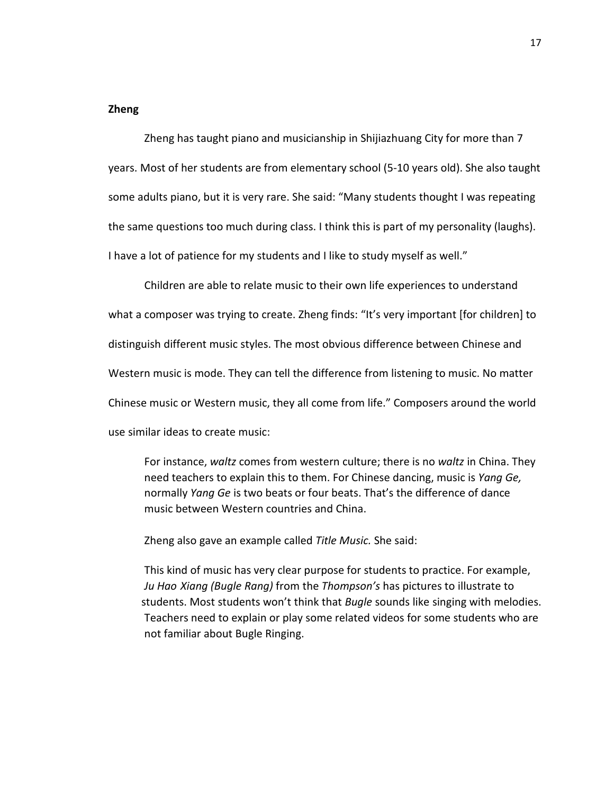#### **Zheng**

Zheng has taught piano and musicianship in Shijiazhuang City for more than 7 years. Most of her students are from elementary school (5-10 years old). She also taught some adults piano, but it is very rare. She said: "Many students thought I was repeating the same questions too much during class. I think this is part of my personality (laughs). I have a lot of patience for my students and I like to study myself as well."

 Children are able to relate music to their own life experiences to understand what a composer was trying to create. Zheng finds: "It's very important [for children] to distinguish different music styles. The most obvious difference between Chinese and Western music is mode. They can tell the difference from listening to music. No matter Chinese music or Western music, they all come from life." Composers around the world use similar ideas to create music:

 For instance, *waltz* comes from western culture; there is no *waltz* in China. They need teachers to explain this to them. For Chinese dancing, music is *Yang Ge,*  normally *Yang Ge* is two beats or four beats. That's the difference of dance music between Western countries and China.

Zheng also gave an example called *Title Music.* She said:

 This kind of music has very clear purpose for students to practice. For example, *Ju Hao Xiang (Bugle Rang)* from the *Thompson's* has pictures to illustrate to students. Most students won't think that *Bugle* sounds like singing with melodies. Teachers need to explain or play some related videos for some students who are not familiar about Bugle Ringing.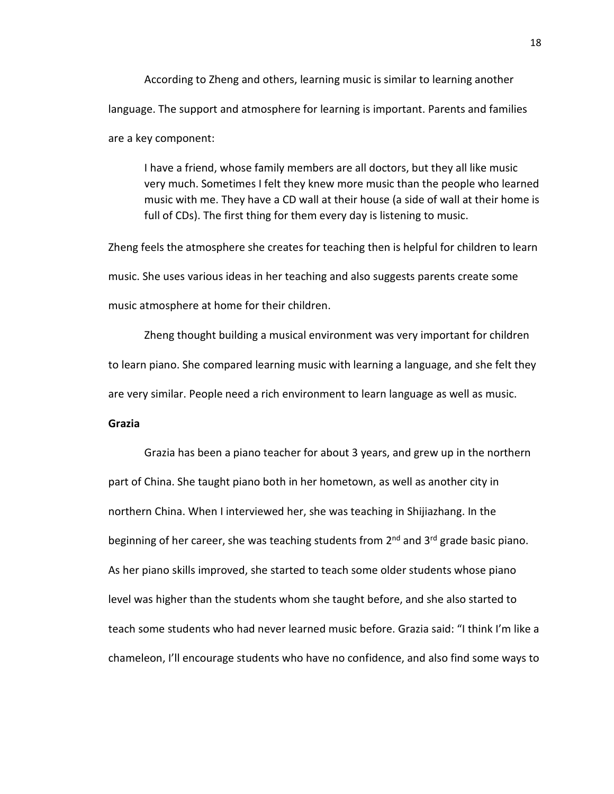According to Zheng and others, learning music is similar to learning another language. The support and atmosphere for learning is important. Parents and families are a key component:

 I have a friend, whose family members are all doctors, but they all like music very much. Sometimes I felt they knew more music than the people who learned music with me. They have a CD wall at their house (a side of wall at their home is full of CDs). The first thing for them every day is listening to music.

Zheng feels the atmosphere she creates for teaching then is helpful for children to learn music. She uses various ideas in her teaching and also suggests parents create some music atmosphere at home for their children.

Zheng thought building a musical environment was very important for children to learn piano. She compared learning music with learning a language, and she felt they are very similar. People need a rich environment to learn language as well as music.

#### **Grazia**

Grazia has been a piano teacher for about 3 years, and grew up in the northern part of China. She taught piano both in her hometown, as well as another city in northern China. When I interviewed her, she was teaching in Shijiazhang. In the beginning of her career, she was teaching students from  $2^{nd}$  and  $3^{rd}$  grade basic piano. As her piano skills improved, she started to teach some older students whose piano level was higher than the students whom she taught before, and she also started to teach some students who had never learned music before. Grazia said: "I think I'm like a chameleon, I'll encourage students who have no confidence, and also find some ways to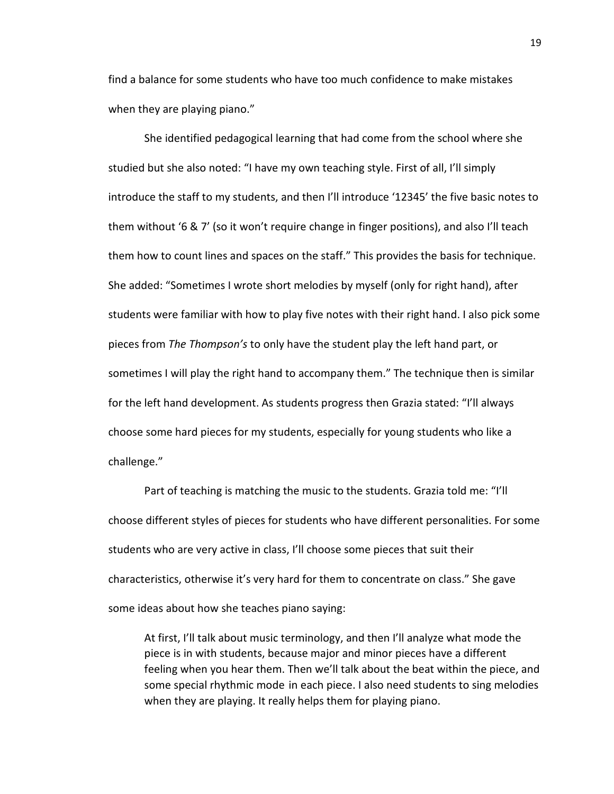find a balance for some students who have too much confidence to make mistakes when they are playing piano."

 She identified pedagogical learning that had come from the school where she studied but she also noted: "I have my own teaching style. First of all, I'll simply introduce the staff to my students, and then I'll introduce '12345' the five basic notes to them without '6 & 7' (so it won't require change in finger positions), and also I'll teach them how to count lines and spaces on the staff." This provides the basis for technique. She added: "Sometimes I wrote short melodies by myself (only for right hand), after students were familiar with how to play five notes with their right hand. I also pick some pieces from *The Thompson's* to only have the student play the left hand part, or sometimes I will play the right hand to accompany them." The technique then is similar for the left hand development. As students progress then Grazia stated: "I'll always choose some hard pieces for my students, especially for young students who like a challenge."

 Part of teaching is matching the music to the students. Grazia told me: "I'll choose different styles of pieces for students who have different personalities. For some students who are very active in class, I'll choose some pieces that suit their characteristics, otherwise it's very hard for them to concentrate on class." She gave some ideas about how she teaches piano saying:

 At first, I'll talk about music terminology, and then I'll analyze what mode the piece is in with students, because major and minor pieces have a different feeling when you hear them. Then we'll talk about the beat within the piece, and some special rhythmic mode in each piece. I also need students to sing melodies when they are playing. It really helps them for playing piano.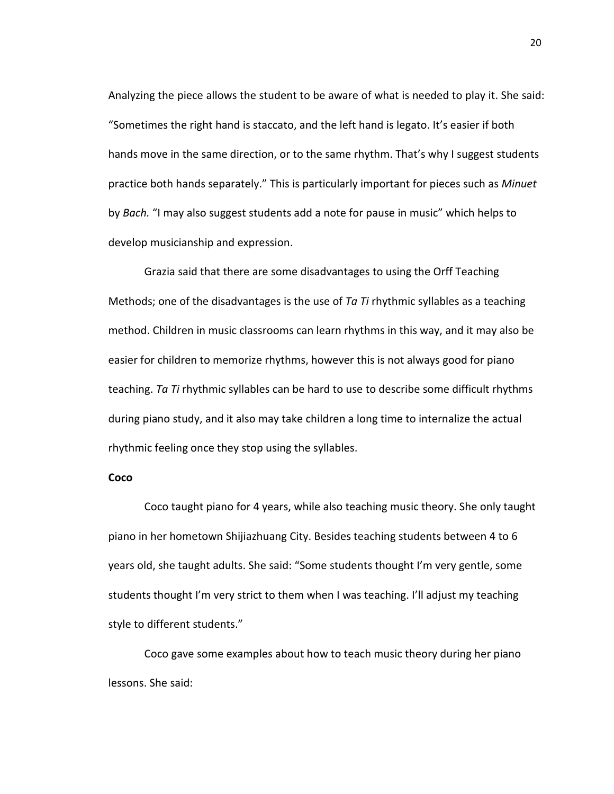Analyzing the piece allows the student to be aware of what is needed to play it. She said: "Sometimes the right hand is staccato, and the left hand is legato. It's easier if both hands move in the same direction, or to the same rhythm. That's why I suggest students practice both hands separately." This is particularly important for pieces such as *Minuet*  by *Bach.* "I may also suggest students add a note for pause in music" which helps to develop musicianship and expression.

Grazia said that there are some disadvantages to using the Orff Teaching Methods; one of the disadvantages is the use of *Ta Ti* rhythmic syllables as a teaching method. Children in music classrooms can learn rhythms in this way, and it may also be easier for children to memorize rhythms, however this is not always good for piano teaching. *Ta Ti* rhythmic syllables can be hard to use to describe some difficult rhythms during piano study, and it also may take children a long time to internalize the actual rhythmic feeling once they stop using the syllables.

#### **Coco**

Coco taught piano for 4 years, while also teaching music theory. She only taught piano in her hometown Shijiazhuang City. Besides teaching students between 4 to 6 years old, she taught adults. She said: "Some students thought I'm very gentle, some students thought I'm very strict to them when I was teaching. I'll adjust my teaching style to different students."

 Coco gave some examples about how to teach music theory during her piano lessons. She said: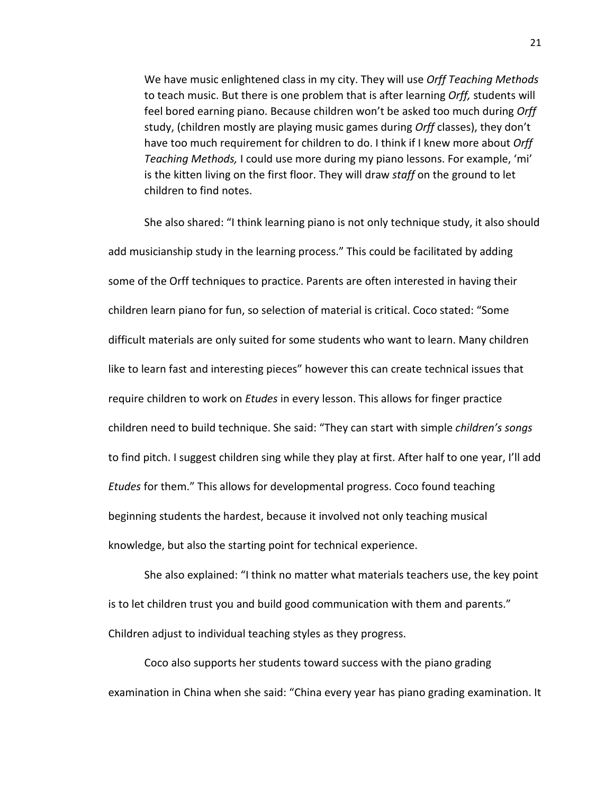We have music enlightened class in my city. They will use *Orff Teaching Methods* to teach music. But there is one problem that is after learning *Orff,* students will feel bored earning piano. Because children won't be asked too much during *Orff* study, (children mostly are playing music games during *Orff* classes), they don't have too much requirement for children to do. I think if I knew more about *Orff Teaching Methods,* I could use more during my piano lessons. For example, 'mi' is the kitten living on the first floor. They will draw *staff* on the ground to let children to find notes.

 She also shared: "I think learning piano is not only technique study, it also should add musicianship study in the learning process." This could be facilitated by adding some of the Orff techniques to practice. Parents are often interested in having their children learn piano for fun, so selection of material is critical. Coco stated: "Some difficult materials are only suited for some students who want to learn. Many children like to learn fast and interesting pieces" however this can create technical issues that require children to work on *Etudes* in every lesson. This allows for finger practice children need to build technique. She said: "They can start with simple *children's songs* to find pitch. I suggest children sing while they play at first. After half to one year, I'll add *Etudes* for them." This allows for developmental progress. Coco found teaching beginning students the hardest, because it involved not only teaching musical knowledge, but also the starting point for technical experience.

 She also explained: "I think no matter what materials teachers use, the key point is to let children trust you and build good communication with them and parents." Children adjust to individual teaching styles as they progress.

 Coco also supports her students toward success with the piano grading examination in China when she said: "China every year has piano grading examination. It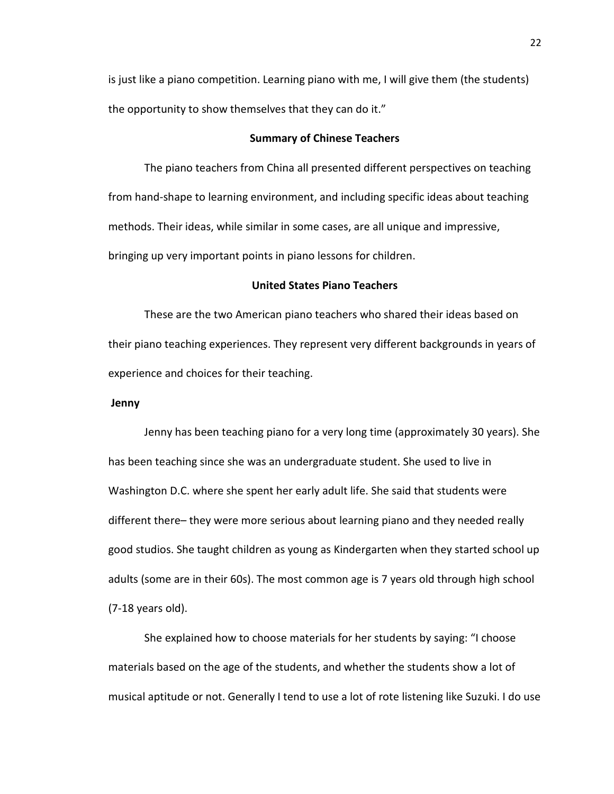is just like a piano competition. Learning piano with me, I will give them (the students) the opportunity to show themselves that they can do it."

#### **Summary of Chinese Teachers**

 The piano teachers from China all presented different perspectives on teaching from hand-shape to learning environment, and including specific ideas about teaching methods. Their ideas, while similar in some cases, are all unique and impressive, bringing up very important points in piano lessons for children.

#### **United States Piano Teachers**

 These are the two American piano teachers who shared their ideas based on their piano teaching experiences. They represent very different backgrounds in years of experience and choices for their teaching.

#### **Jenny**

Jenny has been teaching piano for a very long time (approximately 30 years). She has been teaching since she was an undergraduate student. She used to live in Washington D.C. where she spent her early adult life. She said that students were different there– they were more serious about learning piano and they needed really good studios. She taught children as young as Kindergarten when they started school up adults (some are in their 60s). The most common age is 7 years old through high school (7-18 years old).

 She explained how to choose materials for her students by saying: "I choose materials based on the age of the students, and whether the students show a lot of musical aptitude or not. Generally I tend to use a lot of rote listening like Suzuki. I do use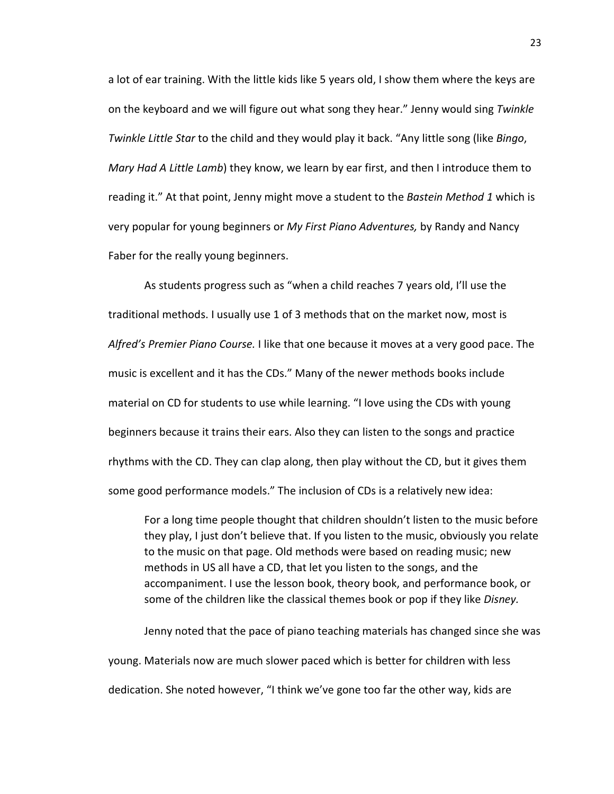a lot of ear training. With the little kids like 5 years old, I show them where the keys are on the keyboard and we will figure out what song they hear." Jenny would sing *Twinkle Twinkle Little Star* to the child and they would play it back. "Any little song (like *Bingo*, *Mary Had A Little Lamb*) they know, we learn by ear first, and then I introduce them to reading it." At that point, Jenny might move a student to the *Bastein Method 1* which is very popular for young beginners or *My First Piano Adventures,* by Randy and Nancy Faber for the really young beginners.

 As students progress such as "when a child reaches 7 years old, I'll use the traditional methods. I usually use 1 of 3 methods that on the market now, most is *Alfred's Premier Piano Course.* I like that one because it moves at a very good pace. The music is excellent and it has the CDs." Many of the newer methods books include material on CD for students to use while learning. "I love using the CDs with young beginners because it trains their ears. Also they can listen to the songs and practice rhythms with the CD. They can clap along, then play without the CD, but it gives them some good performance models." The inclusion of CDs is a relatively new idea:

 For a long time people thought that children shouldn't listen to the music before they play, I just don't believe that. If you listen to the music, obviously you relate to the music on that page. Old methods were based on reading music; new methods in US all have a CD, that let you listen to the songs, and the accompaniment. I use the lesson book, theory book, and performance book, or some of the children like the classical themes book or pop if they like *Disney.* 

Jenny noted that the pace of piano teaching materials has changed since she was young. Materials now are much slower paced which is better for children with less dedication. She noted however, "I think we've gone too far the other way, kids are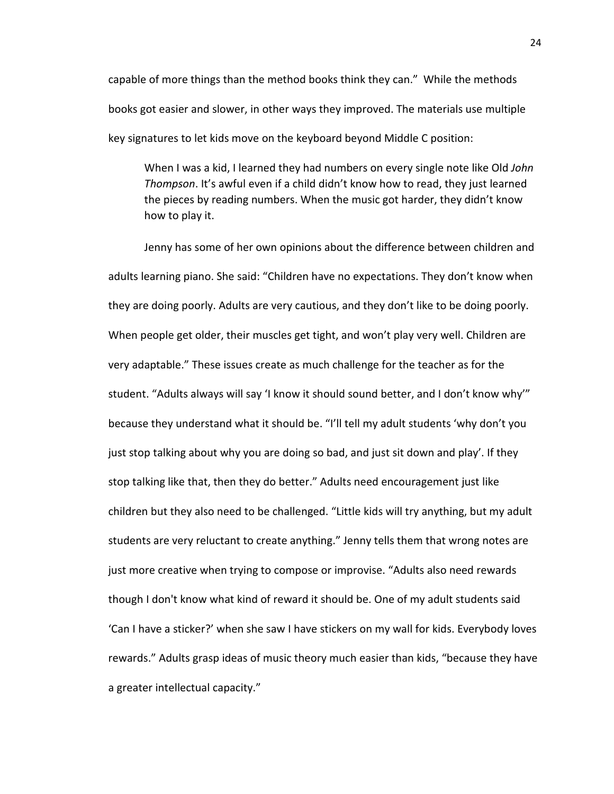capable of more things than the method books think they can." While the methods books got easier and slower, in other ways they improved. The materials use multiple key signatures to let kids move on the keyboard beyond Middle C position:

When I was a kid, I learned they had numbers on every single note like Old *John Thompson*. It's awful even if a child didn't know how to read, they just learned the pieces by reading numbers. When the music got harder, they didn't know how to play it.

Jenny has some of her own opinions about the difference between children and adults learning piano. She said: "Children have no expectations. They don't know when they are doing poorly. Adults are very cautious, and they don't like to be doing poorly. When people get older, their muscles get tight, and won't play very well. Children are very adaptable." These issues create as much challenge for the teacher as for the student. "Adults always will say 'I know it should sound better, and I don't know why'" because they understand what it should be. "I'll tell my adult students 'why don't you just stop talking about why you are doing so bad, and just sit down and play'. If they stop talking like that, then they do better." Adults need encouragement just like children but they also need to be challenged. "Little kids will try anything, but my adult students are very reluctant to create anything." Jenny tells them that wrong notes are just more creative when trying to compose or improvise. "Adults also need rewards though I don't know what kind of reward it should be. One of my adult students said 'Can I have a sticker?' when she saw I have stickers on my wall for kids. Everybody loves rewards." Adults grasp ideas of music theory much easier than kids, "because they have a greater intellectual capacity."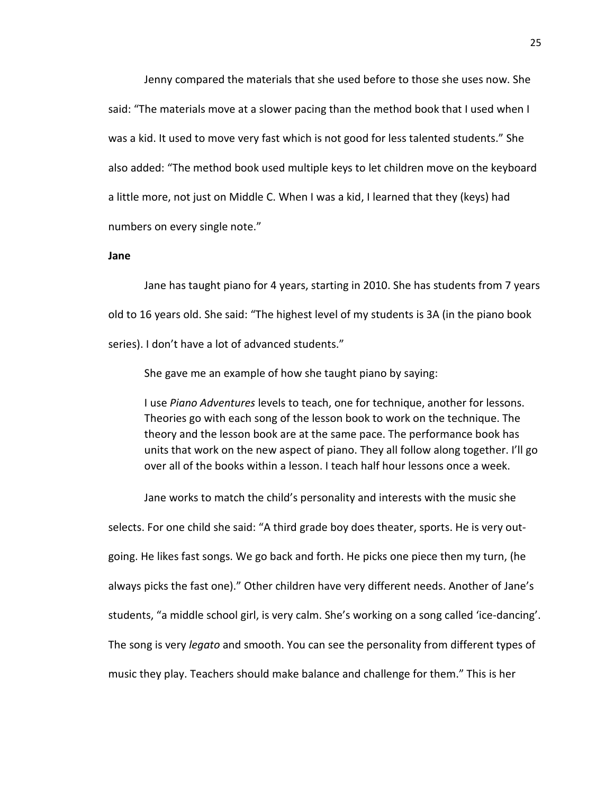Jenny compared the materials that she used before to those she uses now. She said: "The materials move at a slower pacing than the method book that I used when I was a kid. It used to move very fast which is not good for less talented students." She also added: "The method book used multiple keys to let children move on the keyboard a little more, not just on Middle C. When I was a kid, I learned that they (keys) had numbers on every single note."

#### **Jane**

 Jane has taught piano for 4 years, starting in 2010. She has students from 7 years old to 16 years old. She said: "The highest level of my students is 3A (in the piano book series). I don't have a lot of advanced students."

She gave me an example of how she taught piano by saying:

 I use *Piano Adventures* levels to teach, one for technique, another for lessons. Theories go with each song of the lesson book to work on the technique. The theory and the lesson book are at the same pace. The performance book has units that work on the new aspect of piano. They all follow along together. I'll go over all of the books within a lesson. I teach half hour lessons once a week.

Jane works to match the child's personality and interests with the music she

selects. For one child she said: "A third grade boy does theater, sports. He is very outgoing. He likes fast songs. We go back and forth. He picks one piece then my turn, (he always picks the fast one)." Other children have very different needs. Another of Jane's students, "a middle school girl, is very calm. She's working on a song called 'ice-dancing'. The song is very *legato* and smooth. You can see the personality from different types of music they play. Teachers should make balance and challenge for them." This is her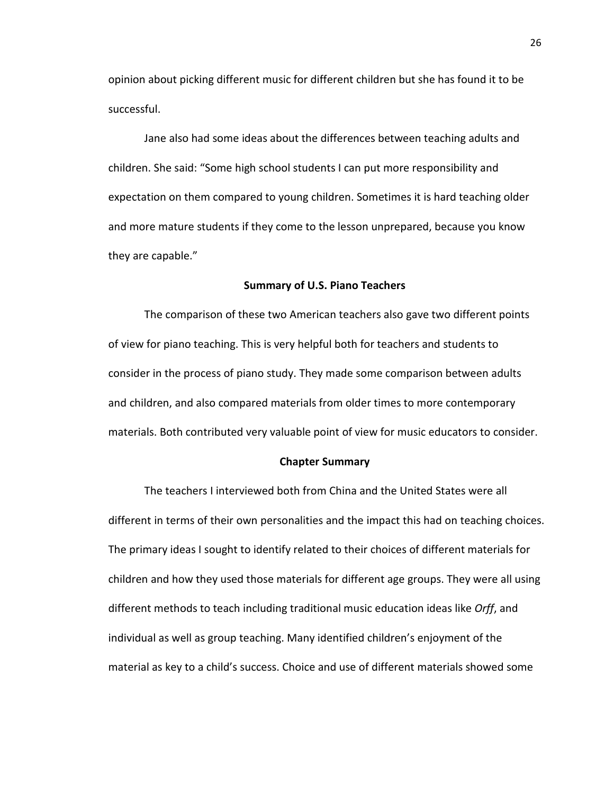opinion about picking different music for different children but she has found it to be successful.

 Jane also had some ideas about the differences between teaching adults and children. She said: "Some high school students I can put more responsibility and expectation on them compared to young children. Sometimes it is hard teaching older and more mature students if they come to the lesson unprepared, because you know they are capable."

#### **Summary of U.S. Piano Teachers**

 The comparison of these two American teachers also gave two different points of view for piano teaching. This is very helpful both for teachers and students to consider in the process of piano study. They made some comparison between adults and children, and also compared materials from older times to more contemporary materials. Both contributed very valuable point of view for music educators to consider.

#### **Chapter Summary**

The teachers I interviewed both from China and the United States were all different in terms of their own personalities and the impact this had on teaching choices. The primary ideas I sought to identify related to their choices of different materials for children and how they used those materials for different age groups. They were all using different methods to teach including traditional music education ideas like *Orff*, and individual as well as group teaching. Many identified children's enjoyment of the material as key to a child's success. Choice and use of different materials showed some

26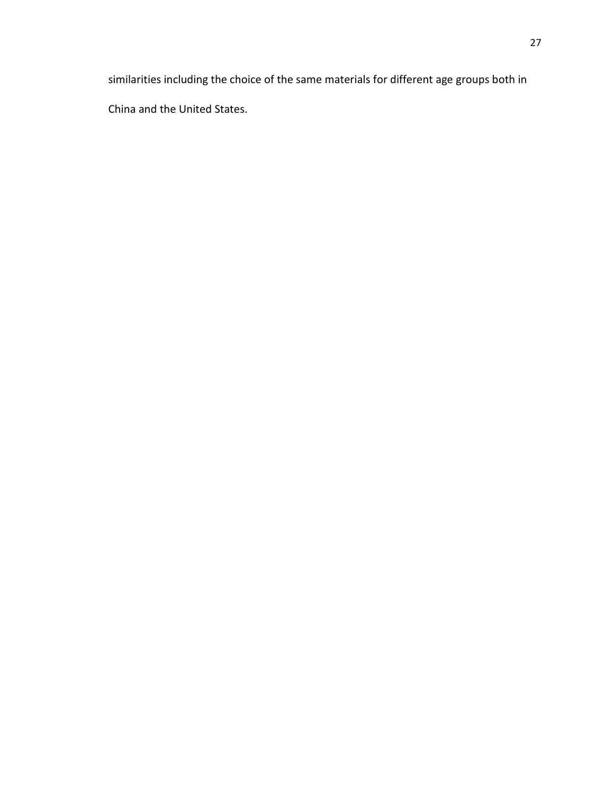similarities including the choice of the same materials for different age groups both in China and the United States.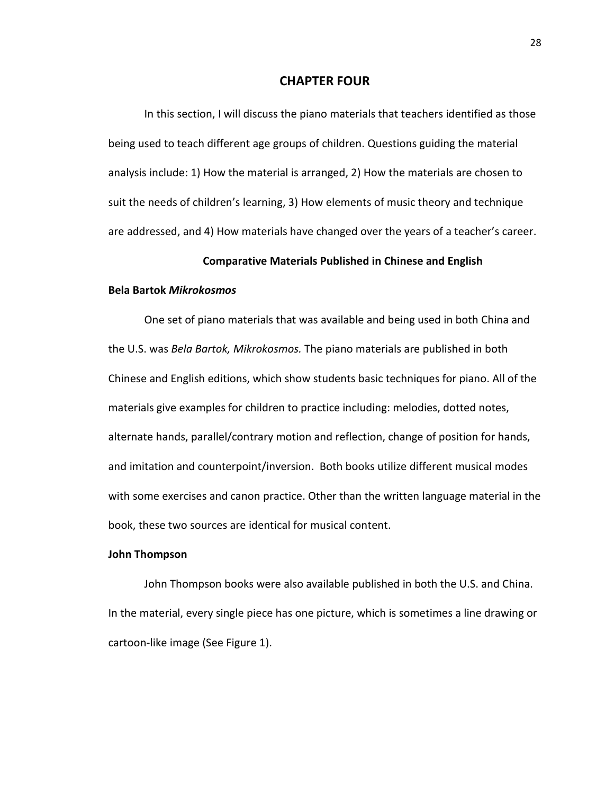#### **CHAPTER FOUR**

In this section, I will discuss the piano materials that teachers identified as those being used to teach different age groups of children. Questions guiding the material analysis include: 1) How the material is arranged, 2) How the materials are chosen to suit the needs of children's learning, 3) How elements of music theory and technique are addressed, and 4) How materials have changed over the years of a teacher's career.

#### **Comparative Materials Published in Chinese and English**

#### **Bela Bartok** *Mikrokosmos*

 One set of piano materials that was available and being used in both China and the U.S. was *Bela Bartok, Mikrokosmos.* The piano materials are published in both Chinese and English editions, which show students basic techniques for piano. All of the materials give examples for children to practice including: melodies, dotted notes, alternate hands, parallel/contrary motion and reflection, change of position for hands, and imitation and counterpoint/inversion. Both books utilize different musical modes with some exercises and canon practice. Other than the written language material in the book, these two sources are identical for musical content.

#### **John Thompson**

 John Thompson books were also available published in both the U.S. and China. In the material, every single piece has one picture, which is sometimes a line drawing or cartoon-like image (See Figure 1).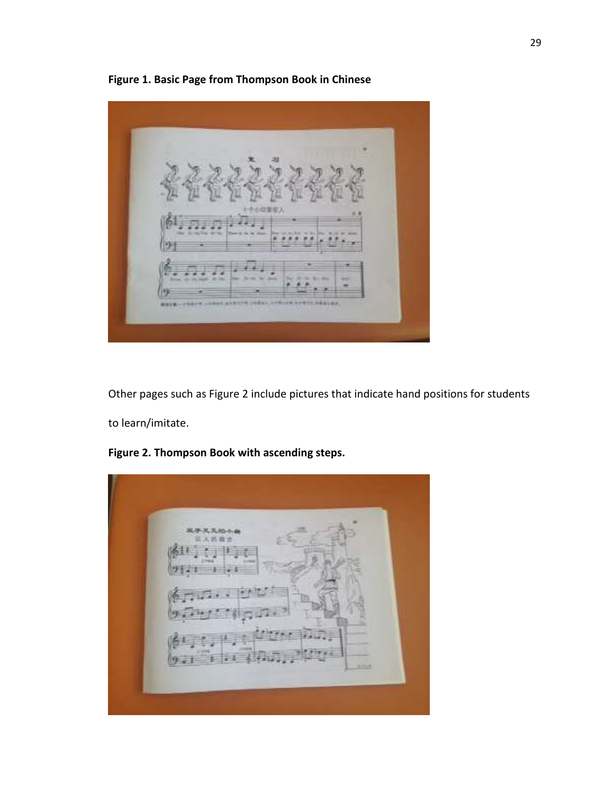Other pages such as Figure 2 include pictures that indicate hand positions for students to learn/imitate.

**Figure 2. Thompson Book with ascending steps.**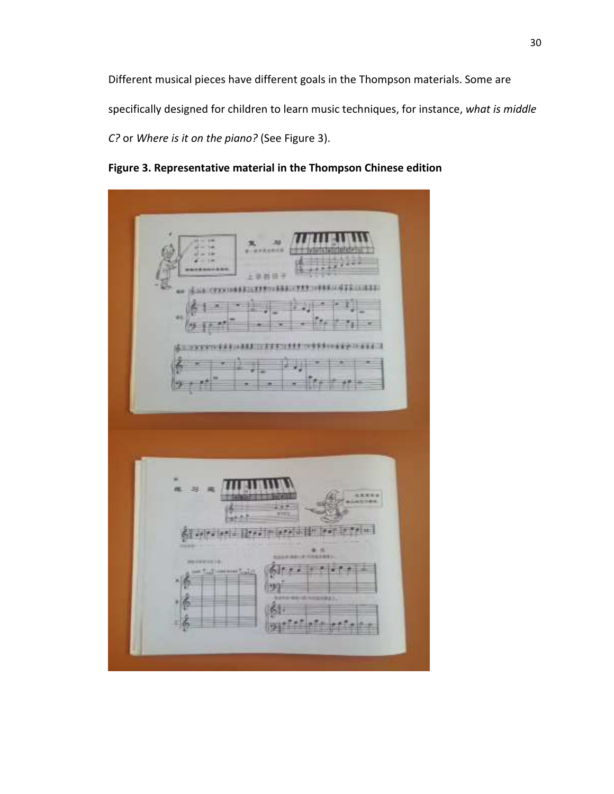Different musical pieces have different goals in the Thompson materials. Some are specifically designed for children to learn music techniques, for instance, *what is middle C?* or *Where is it on the piano?* (See Figure 3).

**Figure 3. Representative material in the Thompson Chinese edition**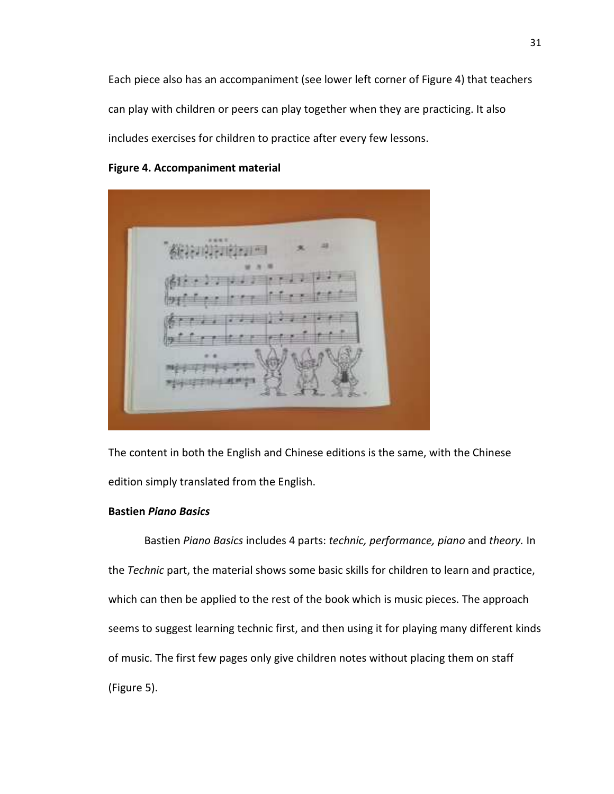Each piece also has an accompaniment (see lower left corner of Figure 4) that teachers can play with children or peers can play together when they are practicing. It also includes exercises for children to practice after every few lessons.

#### **Figure 4. Accompaniment material**

The content in both the English and Chinese editions is the same, with the Chinese edition simply translated from the English.

#### **Bastien** *Piano Basics*

 Bastien *Piano Basics* includes 4 parts: *technic, performance, piano* and *theory.* In the *Technic* part, the material shows some basic skills for children to learn and practice, which can then be applied to the rest of the book which is music pieces. The approach seems to suggest learning technic first, and then using it for playing many different kinds of music. The first few pages only give children notes without placing them on staff (Figure 5).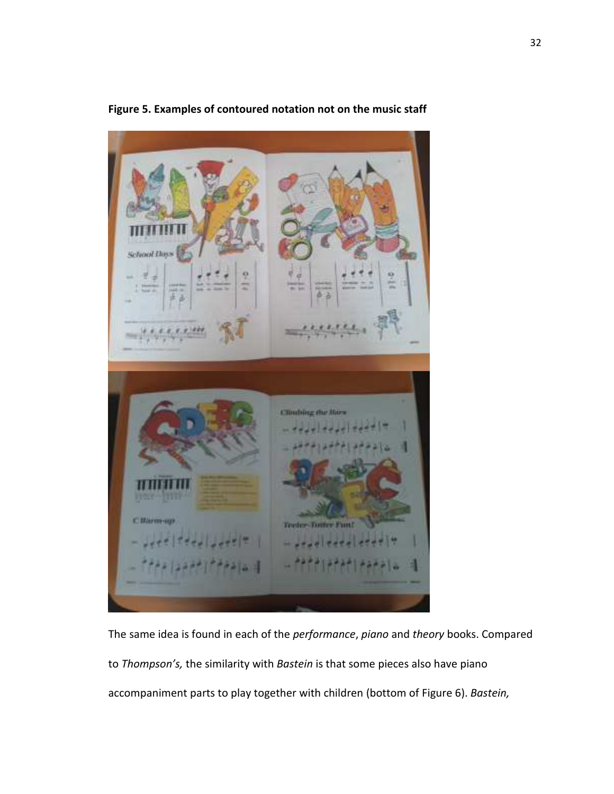

**Figure 5. Examples of contoured notation not on the music staff** 

The same idea is found in each of the *performance*, *piano* and *theory* books. Compared to *Thompson's,* the similarity with *Bastein* is that some pieces also have piano accompaniment parts to play together with children (bottom of Figure 6). *Bastein,*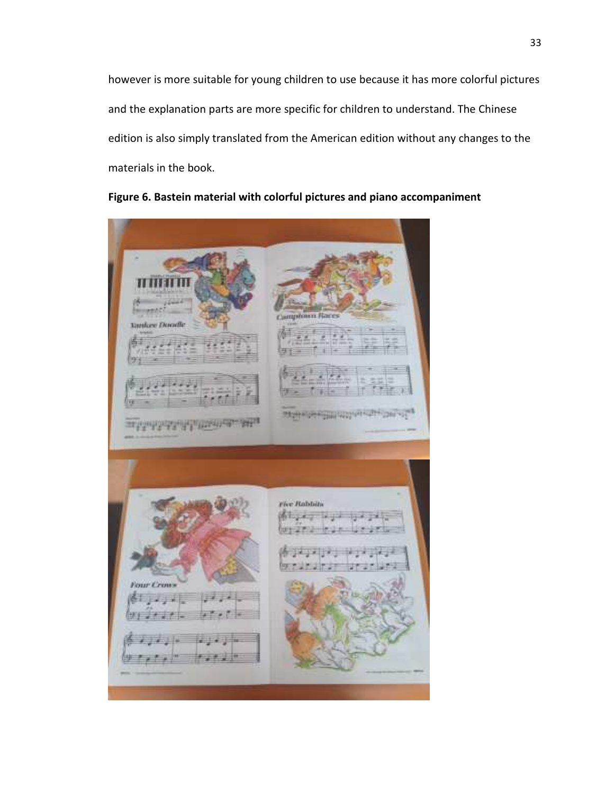however is more suitable for young children to use because it has more colorful pictures and the explanation parts are more specific for children to understand. The Chinese edition is also simply translated from the American edition without any changes to the materials in the book.



### **Figure 6. Bastein material with colorful pictures and piano accompaniment**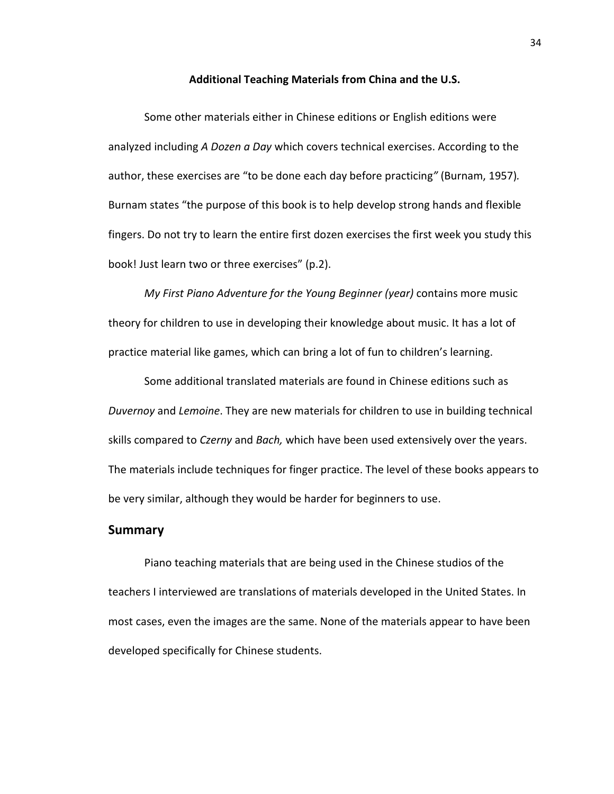**Additional Teaching Materials from China and the U.S.** 

Some other materials either in Chinese editions or English editions were analyzed including *A Dozen a Day* which covers technical exercises. According to the author, these exercises are "to be done each day before practicing*"* (Burnam, 1957)*.*  Burnam states "the purpose of this book is to help develop strong hands and flexible fingers. Do not try to learn the entire first dozen exercises the first week you study this book! Just learn two or three exercises" (p.2).

*My First Piano Adventure for the Young Beginner (year)* contains more music theory for children to use in developing their knowledge about music. It has a lot of practice material like games, which can bring a lot of fun to children's learning.

Some additional translated materials are found in Chinese editions such as *Duvernoy* and *Lemoine*. They are new materials for children to use in building technical skills compared to *Czerny* and *Bach,* which have been used extensively over the years. The materials include techniques for finger practice. The level of these books appears to be very similar, although they would be harder for beginners to use.

#### **Summary**

Piano teaching materials that are being used in the Chinese studios of the teachers I interviewed are translations of materials developed in the United States. In most cases, even the images are the same. None of the materials appear to have been developed specifically for Chinese students.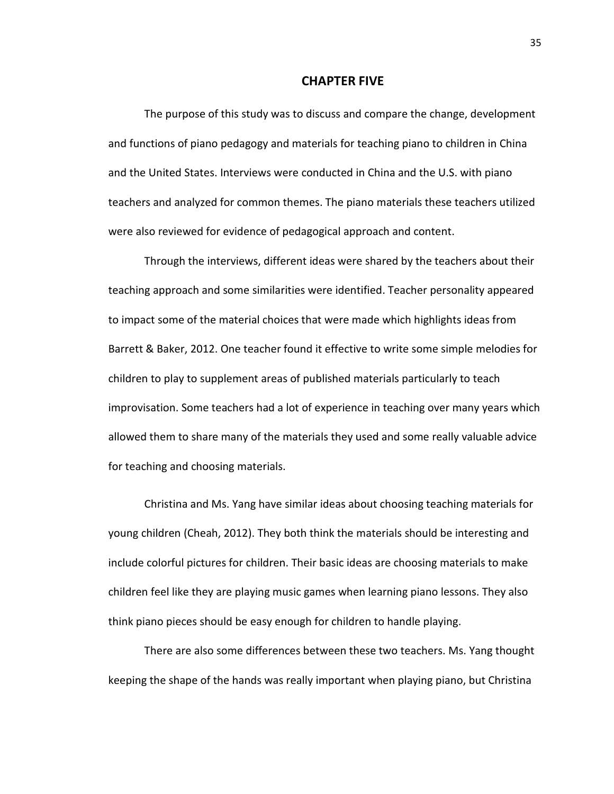#### **CHAPTER FIVE**

The purpose of this study was to discuss and compare the change, development and functions of piano pedagogy and materials for teaching piano to children in China and the United States. Interviews were conducted in China and the U.S. with piano teachers and analyzed for common themes. The piano materials these teachers utilized were also reviewed for evidence of pedagogical approach and content.

Through the interviews, different ideas were shared by the teachers about their teaching approach and some similarities were identified. Teacher personality appeared to impact some of the material choices that were made which highlights ideas from Barrett & Baker, 2012. One teacher found it effective to write some simple melodies for children to play to supplement areas of published materials particularly to teach improvisation. Some teachers had a lot of experience in teaching over many years which allowed them to share many of the materials they used and some really valuable advice for teaching and choosing materials.

 Christina and Ms. Yang have similar ideas about choosing teaching materials for young children (Cheah, 2012). They both think the materials should be interesting and include colorful pictures for children. Their basic ideas are choosing materials to make children feel like they are playing music games when learning piano lessons. They also think piano pieces should be easy enough for children to handle playing.

 There are also some differences between these two teachers. Ms. Yang thought keeping the shape of the hands was really important when playing piano, but Christina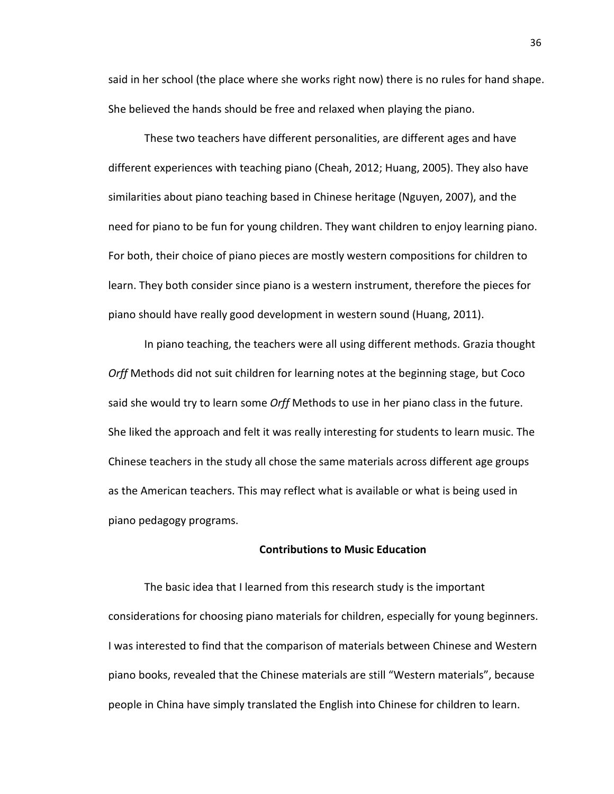said in her school (the place where she works right now) there is no rules for hand shape. She believed the hands should be free and relaxed when playing the piano.

 These two teachers have different personalities, are different ages and have different experiences with teaching piano (Cheah, 2012; Huang, 2005). They also have similarities about piano teaching based in Chinese heritage (Nguyen, 2007), and the need for piano to be fun for young children. They want children to enjoy learning piano. For both, their choice of piano pieces are mostly western compositions for children to learn. They both consider since piano is a western instrument, therefore the pieces for piano should have really good development in western sound (Huang, 2011).

 In piano teaching, the teachers were all using different methods. Grazia thought *Orff* Methods did not suit children for learning notes at the beginning stage, but Coco said she would try to learn some *Orff* Methods to use in her piano class in the future. She liked the approach and felt it was really interesting for students to learn music. The Chinese teachers in the study all chose the same materials across different age groups as the American teachers. This may reflect what is available or what is being used in piano pedagogy programs.

#### **Contributions to Music Education**

The basic idea that I learned from this research study is the important considerations for choosing piano materials for children, especially for young beginners. I was interested to find that the comparison of materials between Chinese and Western piano books, revealed that the Chinese materials are still "Western materials", because people in China have simply translated the English into Chinese for children to learn.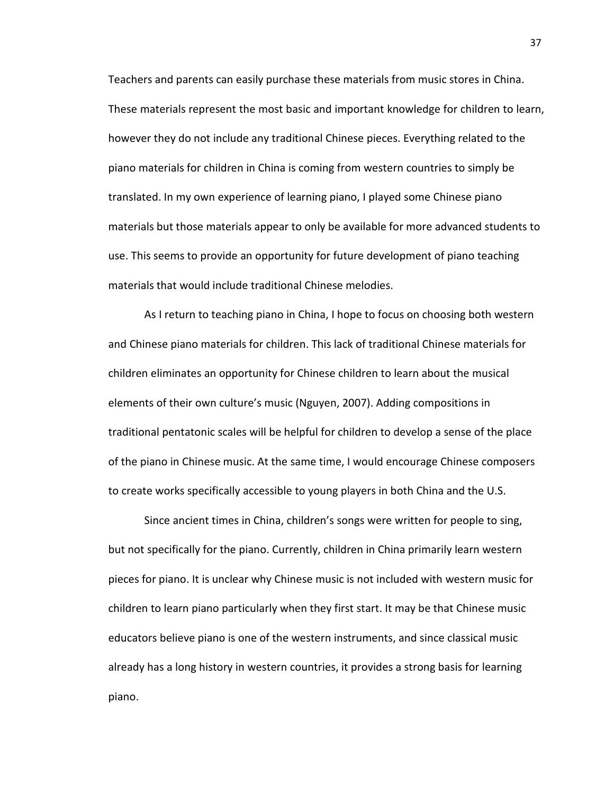Teachers and parents can easily purchase these materials from music stores in China. These materials represent the most basic and important knowledge for children to learn, however they do not include any traditional Chinese pieces. Everything related to the piano materials for children in China is coming from western countries to simply be translated. In my own experience of learning piano, I played some Chinese piano materials but those materials appear to only be available for more advanced students to use. This seems to provide an opportunity for future development of piano teaching materials that would include traditional Chinese melodies.

As I return to teaching piano in China, I hope to focus on choosing both western and Chinese piano materials for children. This lack of traditional Chinese materials for children eliminates an opportunity for Chinese children to learn about the musical elements of their own culture's music (Nguyen, 2007). Adding compositions in traditional pentatonic scales will be helpful for children to develop a sense of the place of the piano in Chinese music. At the same time, I would encourage Chinese composers to create works specifically accessible to young players in both China and the U.S.

Since ancient times in China, children's songs were written for people to sing, but not specifically for the piano. Currently, children in China primarily learn western pieces for piano. It is unclear why Chinese music is not included with western music for children to learn piano particularly when they first start. It may be that Chinese music educators believe piano is one of the western instruments, and since classical music already has a long history in western countries, it provides a strong basis for learning piano.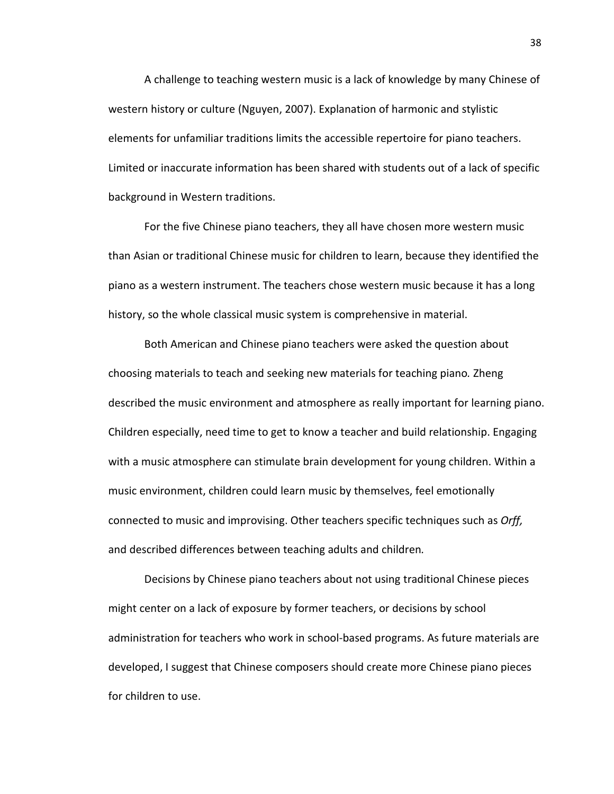A challenge to teaching western music is a lack of knowledge by many Chinese of western history or culture (Nguyen, 2007). Explanation of harmonic and stylistic elements for unfamiliar traditions limits the accessible repertoire for piano teachers. Limited or inaccurate information has been shared with students out of a lack of specific background in Western traditions.

For the five Chinese piano teachers, they all have chosen more western music than Asian or traditional Chinese music for children to learn, because they identified the piano as a western instrument. The teachers chose western music because it has a long history, so the whole classical music system is comprehensive in material.

Both American and Chinese piano teachers were asked the question about choosing materials to teach and seeking new materials for teaching piano*.* Zheng described the music environment and atmosphere as really important for learning piano. Children especially, need time to get to know a teacher and build relationship. Engaging with a music atmosphere can stimulate brain development for young children. Within a music environment, children could learn music by themselves, feel emotionally connected to music and improvising. Other teachers specific techniques such as *Orff,* and described differences between teaching adults and children*.* 

Decisions by Chinese piano teachers about not using traditional Chinese pieces might center on a lack of exposure by former teachers, or decisions by school administration for teachers who work in school-based programs. As future materials are developed, I suggest that Chinese composers should create more Chinese piano pieces for children to use.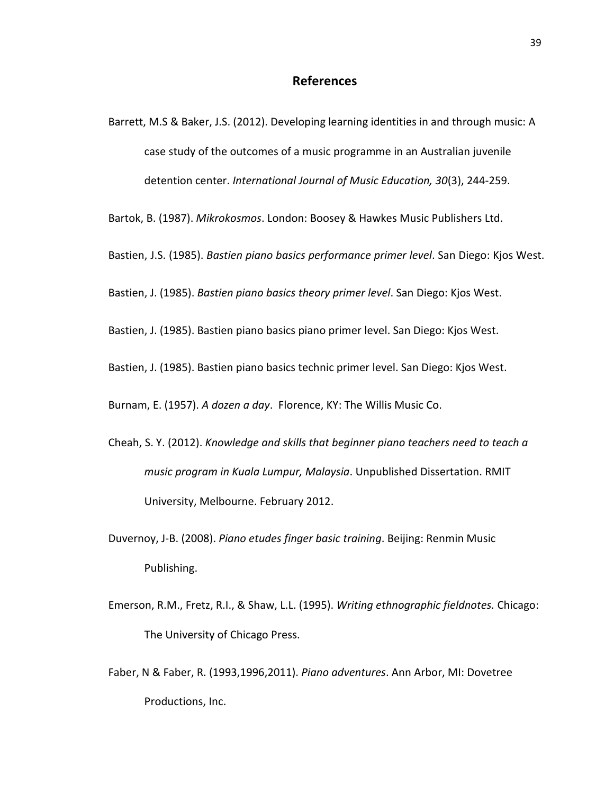- Barrett, M.S & Baker, J.S. (2012). Developing learning identities in and through music: A case study of the outcomes of a music programme in an Australian juvenile detention center. *International Journal of Music Education, 30*(3), 244-259.
- Bartok, B. (1987). *Mikrokosmos*. London: Boosey & Hawkes Music Publishers Ltd.
- Bastien, J.S. (1985). *Bastien piano basics performance primer level*. San Diego: Kjos West.
- Bastien, J. (1985). *Bastien piano basics theory primer level*. San Diego: Kjos West.
- Bastien, J. (1985). Bastien piano basics piano primer level. San Diego: Kjos West.
- Bastien, J. (1985). Bastien piano basics technic primer level. San Diego: Kjos West.

Burnam, E. (1957). *A dozen a day*. Florence, KY: The Willis Music Co.

- Cheah, S. Y. (2012). *Knowledge and skills that beginner piano teachers need to teach a music program in Kuala Lumpur, Malaysia*. Unpublished Dissertation. RMIT University, Melbourne. February 2012.
- Duvernoy, J-B. (2008). *Piano etudes finger basic training*. Beijing: Renmin Music Publishing.
- Emerson, R.M., Fretz, R.I., & Shaw, L.L. (1995). *Writing ethnographic fieldnotes.* Chicago: The University of Chicago Press.
- Faber, N & Faber, R. (1993,1996,2011). *Piano adventures*. Ann Arbor, MI: Dovetree Productions, Inc.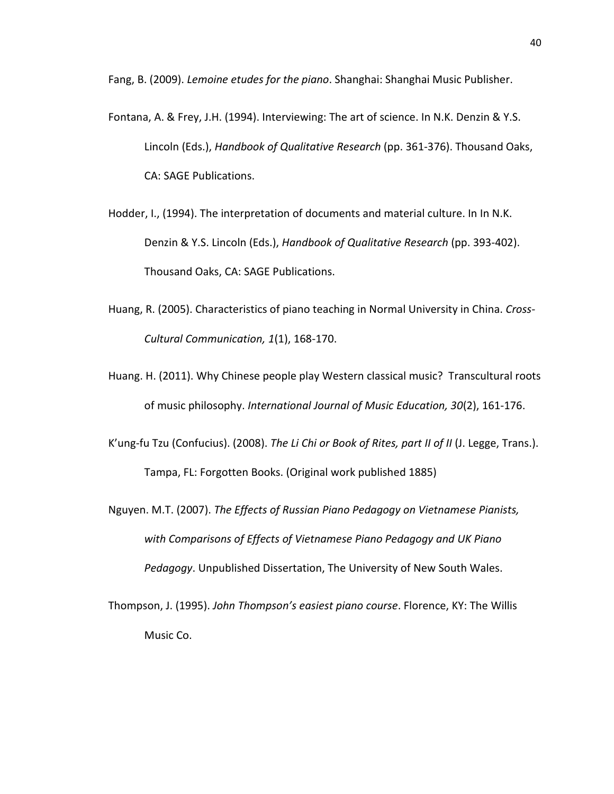Fang, B. (2009). *Lemoine etudes for the piano*. Shanghai: Shanghai Music Publisher.

- Fontana, A. & Frey, J.H. (1994). Interviewing: The art of science. In N.K. Denzin & Y.S. Lincoln (Eds.), *Handbook of Qualitative Research* (pp. 361-376). Thousand Oaks, CA: SAGE Publications.
- Hodder, I., (1994). The interpretation of documents and material culture. In In N.K. Denzin & Y.S. Lincoln (Eds.), *Handbook of Qualitative Research* (pp. 393-402). Thousand Oaks, CA: SAGE Publications.
- Huang, R. (2005). Characteristics of piano teaching in Normal University in China. *Cross- Cultural Communication, 1*(1), 168-170.
- Huang. H. (2011). Why Chinese people play Western classical music? Transcultural roots of music philosophy. *International Journal of Music Education, 30*(2), 161-176.
- K'ung-fu Tzu (Confucius). (2008). *The Li Chi or Book of Rites, part II of II* (J. Legge, Trans.). Tampa, FL: Forgotten Books. (Original work published 1885)
- Nguyen. M.T. (2007). *The Effects of Russian Piano Pedagogy on Vietnamese Pianists, with Comparisons of Effects of Vietnamese Piano Pedagogy and UK Piano Pedagogy*. Unpublished Dissertation, The University of New South Wales.
- Thompson, J. (1995). *John Thompson's easiest piano course*. Florence, KY: The Willis Music Co.